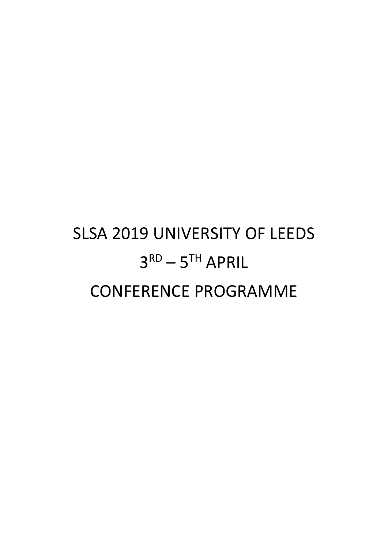# SLSA 2019 UNIVERSITY OF LEEDS  $3<sup>RD</sup> - 5<sup>TH</sup>$  APRIL CONFERENCE PROGRAMME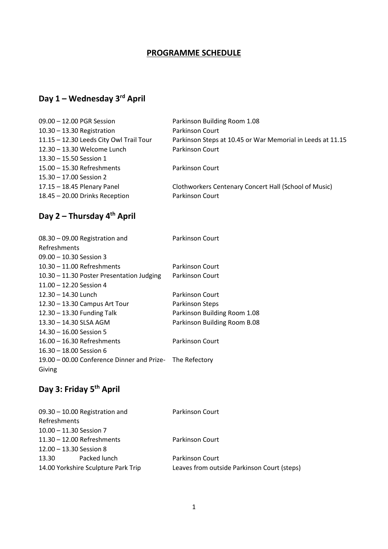## **PROGRAMME SCHEDULE**

## **Day 1 – Wednesday 3 rd April**

| 09.00 - 12.00 PGR Session               | Parkinson Building Room 1.08                               |
|-----------------------------------------|------------------------------------------------------------|
| $10.30 - 13.30$ Registration            | Parkinson Court                                            |
| 11.15 - 12.30 Leeds City Owl Trail Tour | Parkinson Steps at 10.45 or War Memorial in Leeds at 11.15 |
| 12.30 - 13.30 Welcome Lunch             | Parkinson Court                                            |
| 13.30 - 15.50 Session 1                 |                                                            |
| 15.00 - 15.30 Refreshments              | Parkinson Court                                            |
| 15.30 - 17.00 Session 2                 |                                                            |
| 17.15 - 18.45 Plenary Panel             | Clothworkers Centenary Concert Hall (School of Music)      |
| 18.45 - 20.00 Drinks Reception          | Parkinson Court                                            |
|                                         |                                                            |

# **Day 2 – Thursday 4th April**

| 08.30 - 09.00 Registration and                           | Parkinson Court              |
|----------------------------------------------------------|------------------------------|
| Refreshments                                             |                              |
| $09.00 - 10.30$ Session 3                                |                              |
| $10.30 - 11.00$ Refreshments                             | Parkinson Court              |
| 10.30 - 11.30 Poster Presentation Judging                | Parkinson Court              |
| $11.00 - 12.20$ Session 4                                |                              |
| $12.30 - 14.30$ Lunch                                    | Parkinson Court              |
| 12.30 - 13.30 Campus Art Tour                            | Parkinson Steps              |
| 12.30 - 13.30 Funding Talk                               | Parkinson Building Room 1.08 |
| 13.30 - 14.30 SLSA AGM                                   | Parkinson Building Room B.08 |
| $14.30 - 16.00$ Session 5                                |                              |
| $16.00 - 16.30$ Refreshments                             | Parkinson Court              |
| $16.30 - 18.00$ Session 6                                |                              |
| 19.00 - 00.00 Conference Dinner and Prize- The Refectory |                              |
| Giving                                                   |                              |

# **Day 3: Friday 5th April**

| $09.30 - 10.00$ Registration and    | <b>Parkinson Court</b>                      |
|-------------------------------------|---------------------------------------------|
| Refreshments                        |                                             |
| $10.00 - 11.30$ Session 7           |                                             |
| $11.30 - 12.00$ Refreshments        | <b>Parkinson Court</b>                      |
| 12.00 - 13.30 Session 8             |                                             |
| Packed lunch<br>13.30               | <b>Parkinson Court</b>                      |
| 14.00 Yorkshire Sculpture Park Trip | Leaves from outside Parkinson Court (steps) |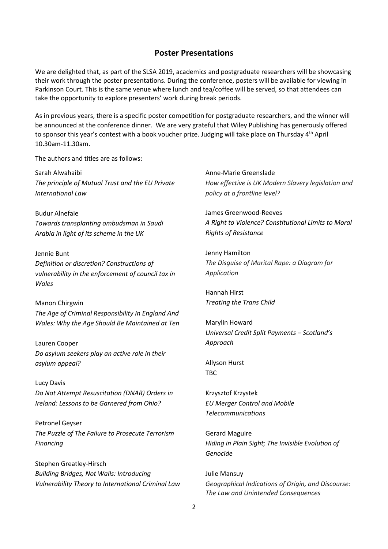#### **Poster Presentations**

We are delighted that, as part of the SLSA 2019, academics and postgraduate researchers will be showcasing their work through the poster presentations. During the conference, posters will be available for viewing in Parkinson Court. This is the same venue where lunch and tea/coffee will be served, so that attendees can take the opportunity to explore presenters' work during break periods.

As in previous years, there is a specific poster competition for postgraduate researchers, and the winner will be announced at the conference dinner. We are very grateful that Wiley Publishing has generously offered to sponsor this year's contest with a book voucher prize. Judging will take place on Thursday 4<sup>th</sup> April 10.30am-11.30am.

The authors and titles are as follows:

Sarah Alwahaibi *The principle of Mutual Trust and the EU Private International Law*

Budur Alnefaie *Towards transplanting ombudsman in Saudi Arabia in light of its scheme in the UK*

Jennie Bunt *Definition or discretion? Constructions of vulnerability in the enforcement of council tax in Wales*

Manon Chirgwin *The Age of Criminal Responsibility In England And Wales: Why the Age Should Be Maintained at Ten*

Lauren Cooper *Do asylum seekers play an active role in their asylum appeal?*

Lucy Davis *Do Not Attempt Resuscitation (DNAR) Orders in Ireland: Lessons to be Garnered from Ohio?*

Petronel Geyser *The Puzzle of The Failure to Prosecute Terrorism Financing*

Stephen Greatley-Hirsch *Building Bridges, Not Walls: Introducing Vulnerability Theory to International Criminal Law*

Anne-Marie Greenslade *How effective is UK Modern Slavery legislation and policy at a frontline level?*

James Greenwood-Reeves *A Right to Violence? Constitutional Limits to Moral Rights of Resistance*

Jenny Hamilton *The Disguise of Marital Rape: a Diagram for Application*

Hannah Hirst *Treating the Trans Child*

Marylin Howard *Universal Credit Split Payments – Scotland's Approach*

Allyson Hurst TBC

Krzysztof Krzystek *EU Merger Control and Mobile Telecommunications*

Gerard Maguire *Hiding in Plain Sight; The Invisible Evolution of Genocide*

Julie Mansuy *Geographical Indications of Origin, and Discourse: The Law and Unintended Consequences*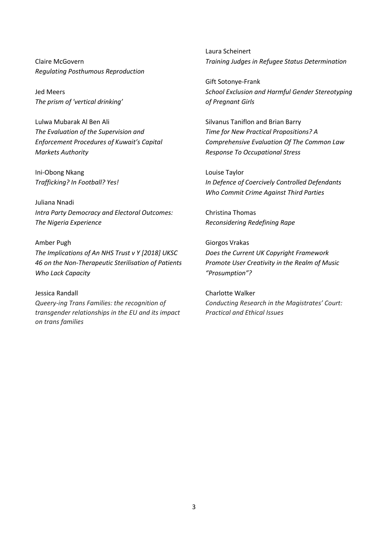Claire McGovern *Regulating Posthumous Reproduction*

Jed Meers *The prism of 'vertical drinking'* 

Lulwa Mubarak Al Ben Ali *The Evaluation of the Supervision and Enforcement Procedures of Kuwait's Capital Markets Authority*

Ini-Obong Nkang *Trafficking? In Football? Yes!*

Juliana Nnadi *Intra Party Democracy and Electoral Outcomes: The Nigeria Experience*

Amber Pugh *The Implications of An NHS Trust v Y [2018] UKSC 46 on the Non-Therapeutic Sterilisation of Patients Who Lack Capacity*

Jessica Randall *Queery-ing Trans Families: the recognition of transgender relationships in the EU and its impact on trans families*

Laura Scheinert *Training Judges in Refugee Status Determination*

Gift Sotonye-Frank *School Exclusion and Harmful Gender Stereotyping of Pregnant Girls*

Silvanus Taniflon and Brian Barry *Time for New Practical Propositions? A Comprehensive Evaluation Of The Common Law Response To Occupational Stress*

Louise Taylor *In Defence of Coercively Controlled Defendants Who Commit Crime Against Third Parties*

Christina Thomas *Reconsidering Redefining Rape*

Giorgos Vrakas *Does the Current UK Copyright Framework Promote User Creativity in the Realm of Music "Prosumption"?*

Charlotte Walker *Conducting Research in the Magistrates' Court: Practical and Ethical Issues*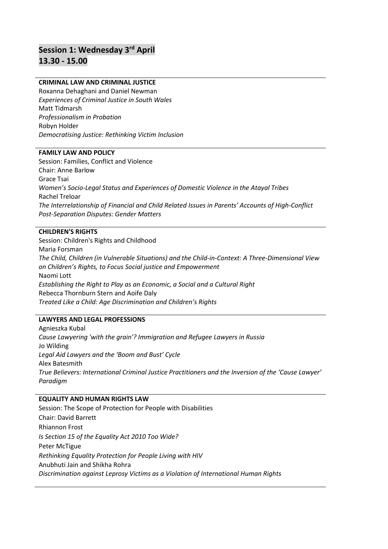# **Session 1: Wednesday 3rd April 13.30 - 15.00**

#### **CRIMINAL LAW AND CRIMINAL JUSTICE**

Roxanna Dehaghani and Daniel Newman *Experiences of Criminal Justice in South Wales* Matt Tidmarsh *Professionalism in Probation* Robyn Holder *Democratising Justice: Rethinking Victim Inclusion*

#### **FAMILY LAW AND POLICY**

Session: Families, Conflict and Violence Chair: Anne Barlow Grace Tsai *Women's Socio-Legal Status and Experiences of Domestic Violence in the Atayal Tribes* Rachel Treloar *The Interrelationship of Financial and Child Related Issues in Parents' Accounts of High-Conflict Post-Separation Disputes: Gender Matters*

#### **CHILDREN'S RIGHTS**

Session: Children's Rights and Childhood Maria Forsman *The Child, Children (in Vulnerable Situations) and the Child-in-Context: A Three-Dimensional View on Children's Rights, to Focus Social justice and Empowerment* Naomi Lott *Establishing the Right to Play as an Economic, a Social and a Cultural Right* Rebecca Thornburn Stern and Aoife Daly *Treated Like a Child: Age Discrimination and Children's Rights*

#### **LAWYERS AND LEGAL PROFESSIONS**

Agnieszka Kubal *Cause Lawyering 'with the grain'? Immigration and Refugee Lawyers in Russia* Jo Wilding *Legal Aid Lawyers and the 'Boom and Bust' Cycle*  Alex Batesmith *True Believers: International Criminal Justice Practitioners and the Inversion of the 'Cause Lawyer' Paradigm*

#### **EQUALITY AND HUMAN RIGHTS LAW**

Session: The Scope of Protection for People with Disabilities Chair: David Barrett Rhiannon Frost *Is Section 15 of the Equality Act 2010 Too Wide?*  Peter McTigue *Rethinking Equality Protection for People Living with HIV*  Anubhuti Jain and Shikha Rohra *Discrimination against Leprosy Victims as a Violation of International Human Rights*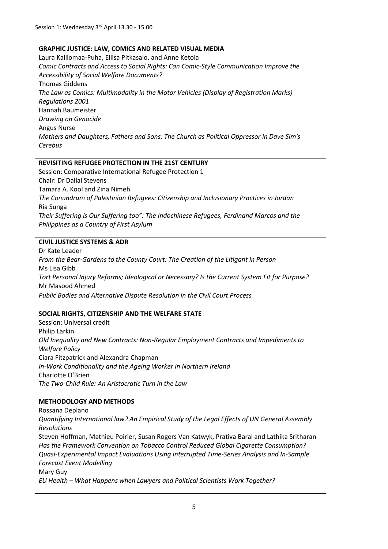#### **GRAPHIC JUSTICE: LAW, COMICS AND RELATED VISUAL MEDIA**

Laura Kalliomaa-Puha, Eliisa Pitkasalo, and Anne Ketola *Comic Contracts and Access to Social Rights: Can Comic-Style Communication Improve the Accessibility of Social Welfare Documents?* Thomas Giddens *The Law as Comics: Multimodality in the Motor Vehicles (Display of Registration Marks) Regulations 2001* Hannah Baumeister *Drawing on Genocide* Angus Nurse *Mothers and Daughters, Fathers and Sons: The Church as Political Oppressor in Dave Sim's Cerebus*

#### **REVISITING REFUGEE PROTECTION IN THE 21ST CENTURY**

Session: Comparative International Refugee Protection 1 Chair: Dr Dallal Stevens Tamara A. Kool and Zina Nimeh *The Conundrum of Palestinian Refugees: Citizenship and Inclusionary Practices in Jordan* Ria Sunga *Their Suffering is Our Suffering too": The Indochinese Refugees, Ferdinand Marcos and the Philippines as a Country of First Asylum*

#### **CIVIL JUSTICE SYSTEMS & ADR**

Dr Kate Leader *From the Bear-Gardens to the County Court: The Creation of the Litigant in Person* Ms Lisa Gibb *Tort Personal Injury Reforms; Ideological or Necessary? Is the Current System Fit for Purpose?* Mr Masood Ahmed *Public Bodies and Alternative Dispute Resolution in the Civil Court Process*

#### **SOCIAL RIGHTS, CITIZENSHIP AND THE WELFARE STATE**

Session: Universal credit Philip Larkin *Old Inequality and New Contracts: Non-Regular Employment Contracts and Impediments to Welfare Policy* Ciara Fitzpatrick and Alexandra Chapman *In-Work Conditionality and the Ageing Worker in Northern Ireland* Charlotte O'Brien *The Two-Child Rule: An Aristocratic Turn in the Law*

#### **METHODOLOGY AND METHODS**

Rossana Deplano

*Quantifying International law? An Empirical Study of the Legal Effects of UN General Assembly Resolutions*

Steven Hoffman, Mathieu Poirier, Susan Rogers Van Katwyk, Prativa Baral and Lathika Sritharan *Has the Framework Convention on Tobacco Control Reduced Global Cigarette Consumption? Quasi-Experimental Impact Evaluations Using Interrupted Time-Series Analysis and In-Sample Forecast Event Modelling*

Mary Guy

*EU Health – What Happens when Lawyers and Political Scientists Work Together?*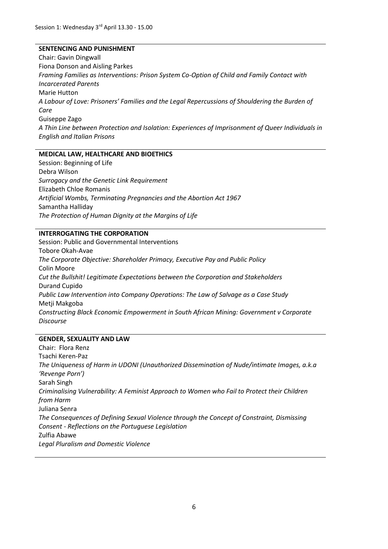#### **SENTENCING AND PUNISHMENT**

Chair: Gavin Dingwall Fiona Donson and Aisling Parkes *Framing Families as Interventions: Prison System Co-Option of Child and Family Contact with Incarcerated Parents* Marie Hutton *A Labour of Love: Prisoners' Families and the Legal Repercussions of Shouldering the Burden of Care* Guiseppe Zago *A Thin Line between Protection and Isolation: Experiences of Imprisonment of Queer Individuals in English and Italian Prisons*

#### **MEDICAL LAW, HEALTHCARE AND BIOETHICS**

Session: Beginning of Life Debra Wilson *Surrogacy and the Genetic Link Requirement* Elizabeth Chloe Romanis *Artificial Wombs, Terminating Pregnancies and the Abortion Act 1967* Samantha Halliday *The Protection of Human Dignity at the Margins of Life*

#### **INTERROGATING THE CORPORATION**

Session: Public and Governmental Interventions Tobore Okah-Avae *The Corporate Objective: Shareholder Primacy, Executive Pay and Public Policy* Colin Moore *Cut the Bullshit! Legitimate Expectations between the Corporation and Stakeholders* Durand Cupido *Public Law Intervention into Company Operations: The Law of Salvage as a Case Study* Metji Makgoba *Constructing Black Economic Empowerment in South African Mining: Government v Corporate Discourse*

#### **GENDER, SEXUALITY AND LAW**

Chair: Flora Renz Tsachi Keren-Paz *The Uniqueness of Harm in UDONI (Unauthorized Dissemination of Nude/intimate Images, a.k.a 'Revenge Porn')*  Sarah Singh *Criminalising Vulnerability: A Feminist Approach to Women who Fail to Protect their Children from Harm* Juliana Senra *The Consequences of Defining Sexual Violence through the Concept of Constraint, Dismissing Consent - Reflections on the Portuguese Legislation* Zulfia Abawe *Legal Pluralism and Domestic Violence*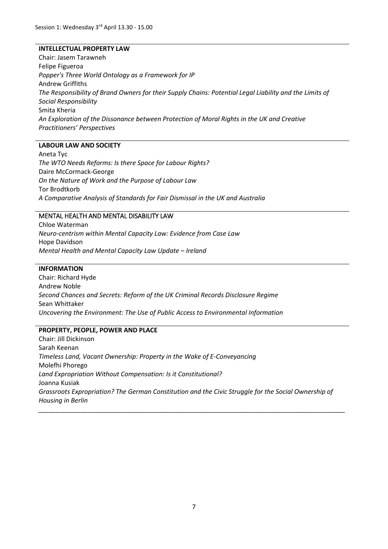#### **INTELLECTUAL PROPERTY LAW**

Chair: Jasem Tarawneh Felipe Figueroa *Popper's Three World Ontology as a Framework for IP* Andrew Griffiths *The Responsibility of Brand Owners for their Supply Chains: Potential Legal Liability and the Limits of Social Responsibility* Smita Kheria *An Exploration of the Dissonance between Protection of Moral Rights in the UK and Creative Practitioners' Perspectives*

#### **LABOUR LAW AND SOCIETY**

Aneta Tyc *The WTO Needs Reforms: Is there Space for Labour Rights?* Daire McCormack-George *On the Nature of Work and the Purpose of Labour Law* Tor Brodtkorb *A Comparative Analysis of Standards for Fair Dismissal in the UK and Australia*

#### MENTAL HEALTH AND MENTAL DISABILITY LAW

Chloe Waterman *Neuro-centrism within Mental Capacity Law: Evidence from Case Law*  Hope Davidson *Mental Health and Mental Capacity Law Update – Ireland*

#### **INFORMATION**

Chair: Richard Hyde Andrew Noble *Second Chances and Secrets: Reform of the UK Criminal Records Disclosure Regime* Sean Whittaker *Uncovering the Environment: The Use of Public Access to Environmental Information*

#### **PROPERTY, PEOPLE, POWER AND PLACE**

Chair: Jill Dickinson Sarah Keenan *Timeless Land, Vacant Ownership: Property in the Wake of E-Conveyancing* Molefhi Phorego *Land Expropriation Without Compensation: Is it Constitutional?* Joanna Kusiak *Grassroots Expropriation? The German Constitution and the Civic Struggle for the Social Ownership of Housing in Berlin \_\_\_\_\_\_\_\_\_\_\_\_\_\_\_\_\_\_\_\_\_\_\_\_\_\_\_\_\_\_\_\_\_\_\_\_\_\_\_\_\_\_\_\_\_\_\_\_\_\_\_\_\_\_\_\_\_\_\_\_\_\_\_\_\_\_\_\_\_\_\_\_\_\_\_\_\_\_\_\_\_\_\_\_\_\_*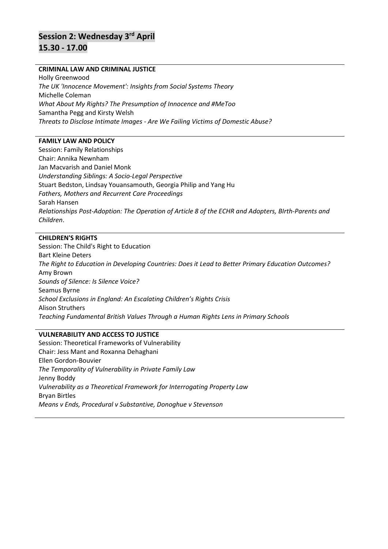# **Session 2: Wednesday 3rd April 15.30 - 17.00**

#### **CRIMINAL LAW AND CRIMINAL JUSTICE**

Holly Greenwood *The UK 'Innocence Movement': Insights from Social Systems Theory* Michelle Coleman *What About My Rights? The Presumption of Innocence and #MeToo*  Samantha Pegg and Kirsty Welsh *Threats to Disclose Intimate Images - Are We Failing Victims of Domestic Abuse?* 

#### **FAMILY LAW AND POLICY**

Session: Family Relationships Chair: Annika Newnham Jan Macvarish and Daniel Monk *Understanding Siblings: A Socio-Legal Perspective* Stuart Bedston, Lindsay Youansamouth, Georgia Philip and Yang Hu *Fathers, Mothers and Recurrent Care Proceedings* Sarah Hansen *Relationships Post-Adoption: The Operation of Article 8 of the ECHR and Adopters, BIrth-Parents and Children*.

#### **CHILDREN'S RIGHTS**

Session: The Child's Right to Education Bart Kleine Deters *The Right to Education in Developing Countries: Does it Lead to Better Primary Education Outcomes?* Amy Brown *Sounds of Silence: Is Silence Voice?* Seamus Byrne *School Exclusions in England: An Escalating Children's Rights Crisis* Alison Struthers *Teaching Fundamental British Values Through a Human Rights Lens in Primary Schools*

#### **VULNERABILITY AND ACCESS TO JUSTICE**

Session: Theoretical Frameworks of Vulnerability Chair: Jess Mant and Roxanna Dehaghani Ellen Gordon-Bouvier *The Temporality of Vulnerability in Private Family Law* Jenny Boddy *Vulnerability as a Theoretical Framework for Interrogating Property Law* Bryan Birtles *Means v Ends, Procedural v Substantive, Donoghue v Stevenson*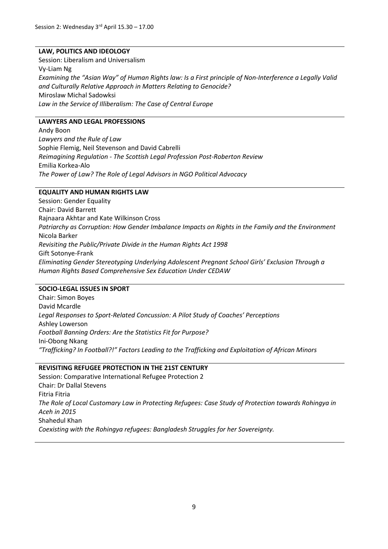#### **LAW, POLITICS AND IDEOLOGY**

Session: Liberalism and Universalism Vy-Liam Ng *Examining the "Asian Way" of Human Rights law: Is a First principle of Non-Interference a Legally Valid and Culturally Relative Approach in Matters Relating to Genocide?* Miroslaw Michal Sadowksi *Law in the Service of Illiberalism: The Case of Central Europe*

#### **LAWYERS AND LEGAL PROFESSIONS**

Andy Boon *Lawyers and the Rule of Law* Sophie Flemig, Neil Stevenson and David Cabrelli *Reimagining Regulation - The Scottish Legal Profession Post-Roberton Review* Emilia Korkea-Alo *The Power of Law? The Role of Legal Advisors in NGO Political Advocacy*

#### **EQUALITY AND HUMAN RIGHTS LAW**

Session: Gender Equality Chair: David Barrett Rajnaara Akhtar and Kate Wilkinson Cross *Patriarchy as Corruption: How Gender Imbalance Impacts on Rights in the Family and the Environment* Nicola Barker *Revisiting the Public/Private Divide in the Human Rights Act 1998*  Gift Sotonye-Frank *Eliminating Gender Stereotyping Underlying Adolescent Pregnant School Girls' Exclusion Through a Human Rights Based Comprehensive Sex Education Under CEDAW*

#### **SOCIO-LEGAL ISSUES IN SPORT**

Chair: Simon Boyes David Mcardle *Legal Responses to Sport-Related Concussion: A Pilot Study of Coaches' Perceptions*  Ashley Lowerson *Football Banning Orders: Are the Statistics Fit for Purpose?* Ini-Obong Nkang *"Trafficking? In Football?!" Factors Leading to the Trafficking and Exploitation of African Minors*

#### **REVISITING REFUGEE PROTECTION IN THE 21ST CENTURY**

Session: Comparative International Refugee Protection 2 Chair: Dr Dallal Stevens Fitria Fitria *The Role of Local Customary Law in Protecting Refugees: Case Study of Protection towards Rohingya in Aceh in 2015* Shahedul Khan *Coexisting with the Rohingya refugees: Bangladesh Struggles for her Sovereignty.*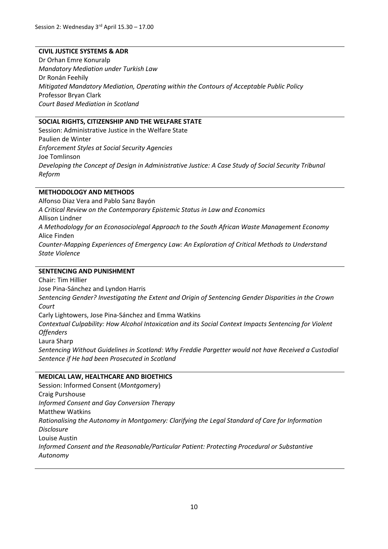#### **CIVIL JUSTICE SYSTEMS & ADR**

Dr Orhan Emre Konuralp *Mandatory Mediation under Turkish Law* Dr Ronán Feehily *Mitigated Mandatory Mediation, Operating within the Contours of Acceptable Public Policy* Professor Bryan Clark *Court Based Mediation in Scotland*

#### **SOCIAL RIGHTS, CITIZENSHIP AND THE WELFARE STATE**

Session: Administrative Justice in the Welfare State Paulien de Winter *Enforcement Styles at Social Security Agencies* Joe Tomlinson *Developing the Concept of Design in Administrative Justice: A Case Study of Social Security Tribunal Reform*

#### **METHODOLOGY AND METHODS**

Alfonso Diaz Vera and Pablo Sanz Bayón *A Critical Review on the Contemporary Epistemic Status in Law and Economics* Allison Lindner *A Methodology for an Econosociolegal Approach to the South African Waste Management Economy* Alice Finden *Counter-Mapping Experiences of Emergency Law: An Exploration of Critical Methods to Understand State Violence*

#### **SENTENCING AND PUNISHMENT**

Chair: Tim Hillier Jose Pina-Sánchez and Lyndon Harris *Sentencing Gender? Investigating the Extent and Origin of Sentencing Gender Disparities in the Crown Court* Carly Lightowers, Jose Pina-Sánchez and Emma Watkins *Contextual Culpability: How Alcohol Intoxication and its Social Context Impacts Sentencing for Violent Offenders* Laura Sharp *Sentencing Without Guidelines in Scotland: Why Freddie Pargetter would not have Received a Custodial Sentence if He had been Prosecuted in Scotland*

#### **MEDICAL LAW, HEALTHCARE AND BIOETHICS**

Session: Informed Consent (*Montgomery*) Craig Purshouse *Informed Consent and Gay Conversion Therapy*  Matthew Watkins *Rationalising the Autonomy in Montgomery: Clarifying the Legal Standard of Care for Information Disclosure* Louise Austin *Informed Consent and the Reasonable/Particular Patient: Protecting Procedural or Substantive Autonomy*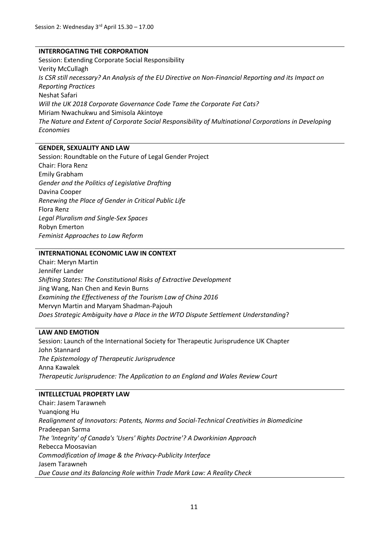#### **INTERROGATING THE CORPORATION**

Session: Extending Corporate Social Responsibility Verity McCullagh *Is CSR still necessary? An Analysis of the EU Directive on Non-Financial Reporting and its Impact on Reporting Practices* Neshat Safari *Will the UK 2018 Corporate Governance Code Tame the Corporate Fat Cats?* Miriam Nwachukwu and Simisola Akintoye *The Nature and Extent of Corporate Social Responsibility of Multinational Corporations in Developing Economies*

#### **GENDER, SEXUALITY AND LAW**

Session: Roundtable on the Future of Legal Gender Project Chair: Flora Renz Emily Grabham *Gender and the Politics of Legislative Drafting* Davina Cooper *Renewing the Place of Gender in Critical Public Life* Flora Renz *Legal Pluralism and Single-Sex Spaces* Robyn Emerton *Feminist Approaches to Law Reform*

#### **INTERNATIONAL ECONOMIC LAW IN CONTEXT**

Chair: Meryn Martin Jennifer Lander *Shifting States: The Constitutional Risks of Extractive Development* Jing Wang, Nan Chen and Kevin Burns *Examining the Effectiveness of the Tourism Law of China 2016* Mervyn Martin and Maryam Shadman-Pajouh *Does Strategic Ambiguity have a Place in the WTO Dispute Settlement Understanding*?

#### **LAW AND EMOTION**

Session: Launch of the International Society for Therapeutic Jurisprudence UK Chapter John Stannard *The Epistemology of Therapeutic Jurisprudence* Anna Kawalek *Therapeutic Jurisprudence: The Application to an England and Wales Review Court*

#### **INTELLECTUAL PROPERTY LAW**

Chair: Jasem Tarawneh Yuanqiong Hu *Realignment of Innovators: Patents, Norms and Social-Technical Creativities in Biomedicine* Pradeepan Sarma *The 'Integrity' of Canada's 'Users' Rights Doctrine'? A Dworkinian Approach* Rebecca Moosavian *Commodification of Image & the Privacy-Publicity Interface* Jasem Tarawneh *Due Cause and its Balancing Role within Trade Mark Law: A Reality Check*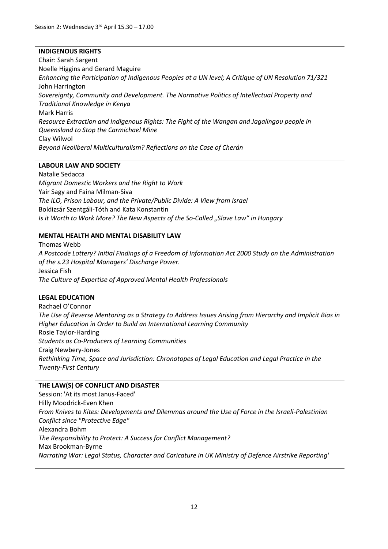#### **INDIGENOUS RIGHTS**

Chair: Sarah Sargent Noelle Higgins and Gerard Maguire *Enhancing the Participation of Indigenous Peoples at a UN level; A Critique of UN Resolution 71/321* John Harrington *Sovereignty, Community and Development. The Normative Politics of Intellectual Property and Traditional Knowledge in Kenya* Mark Harris *Resource Extraction and Indigenous Rights: The Fight of the Wangan and Jagalingou people in Queensland to Stop the Carmichael Mine* Clay Wilwol *Beyond Neoliberal Multiculturalism? Reflections on the Case of Cherán*

#### **LABOUR LAW AND SOCIETY**

Natalie Sedacca *Migrant Domestic Workers and the Right to Work*  Yair Sagy and Faina Milman-Siva *The ILO, Prison Labour, and the Private/Public Divide: A View from Israel* Boldizsár Szentgáli-Tóth and Kata Konstantin *Is it Worth to Work More? The New Aspects of the So-Called "Slave Law" in Hungary* 

#### **MENTAL HEALTH AND MENTAL DISABILITY LAW**

Thomas Webb *A Postcode Lottery? Initial Findings of a Freedom of Information Act 2000 Study on the Administration of the s.23 Hospital Managers' Discharge Power.*  Jessica Fish *The Culture of Expertise of Approved Mental Health Professionals*

#### **LEGAL EDUCATION**

Rachael O'Connor *The Use of Reverse Mentoring as a Strategy to Address Issues Arising from Hierarchy and Implicit Bias in Higher Education in Order to Build an International Learning Community* Rosie Taylor-Harding *Students as Co-Producers of Learning Communitie*s Craig Newbery-Jones *Rethinking Time, Space and Jurisdiction: Chronotopes of Legal Education and Legal Practice in the Twenty-First Century*

#### **THE LAW(S) OF CONFLICT AND DISASTER**

Session: 'At its most Janus-Faced' Hilly Moodrick-Even Khen *From Knives to Kites: Developments and Dilemmas around the Use of Force in the Israeli-Palestinian Conflict since "Protective Edge"* Alexandra Bohm *The Responsibility to Protect: A Success for Conflict Management?* Max Brookman-Byrne *Narrating War: Legal Status, Character and Caricature in UK Ministry of Defence Airstrike Reporting'*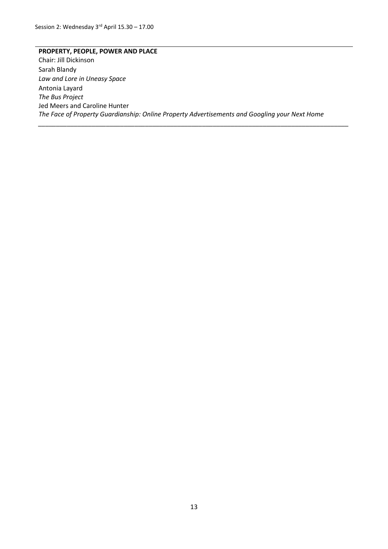**PROPERTY, PEOPLE, POWER AND PLACE** Chair: Jill Dickinson Sarah Blandy *Law and Lore in Uneasy Space* Antonia Layard *The Bus Project* Jed Meers and Caroline Hunter *The Face of Property Guardianship: Online Property Advertisements and Googling your Next Home*

*\_\_\_\_\_\_\_\_\_\_\_\_\_\_\_\_\_\_\_\_\_\_\_\_\_\_\_\_\_\_\_\_\_\_\_\_\_\_\_\_\_\_\_\_\_\_\_\_\_\_\_\_\_\_\_\_\_\_\_\_\_\_\_\_\_\_\_\_\_\_\_\_\_\_\_\_\_\_\_\_\_\_\_\_\_\_\_*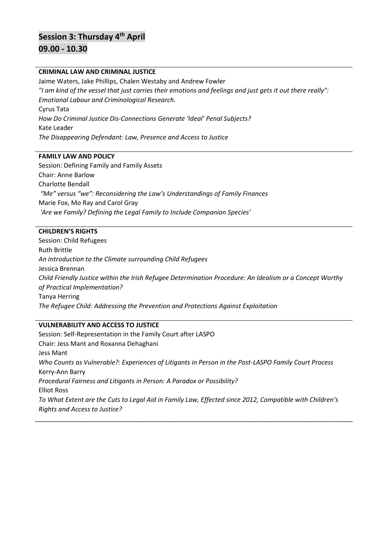# **Session 3: Thursday 4th April 09.00 - 10.30**

#### **CRIMINAL LAW AND CRIMINAL JUSTICE**

Jaime Waters, Jake Phillips, Chalen Westaby and Andrew Fowler *"I am kind of the vessel that just carries their emotions and feelings and just gets it out there really": Emotional Labour and Criminological Research.* Cyrus Tata *How Do Criminal Justice Dis-Connections Generate 'Ideal' Penal Subjects?* Kate Leader *The Disappearing Defendant: Law, Presence and Access to Justice* 

#### **FAMILY LAW AND POLICY**

Session: Defining Family and Family Assets Chair: Anne Barlow Charlotte Bendall *"Me" versus "we": Reconsidering the Law's Understandings of Family Finances* Marie Fox, Mo Ray and Carol Gray *'Are we Family? Defining the Legal Family to Include Companion Species'*

#### **CHILDREN'S RIGHTS**

Session: Child Refugees Ruth Brittle *An Introduction to the Climate surrounding Child Refugees* Jessica Brennan *Child Friendly Justice within the Irish Refugee Determination Procedure: An Idealism or a Concept Worthy of Practical Implementation?* Tanya Herring *The Refugee Child: Addressing the Prevention and Protections Against Exploitation*

#### **VULNERABILITY AND ACCESS TO JUSTICE**

Session: Self-Representation in the Family Court after LASPO Chair: Jess Mant and Roxanna Dehaghani Jess Mant *Who Counts as Vulnerable?: Experiences of Litigants in Person in the Post-LASPO Family Court Process* Kerry-Ann Barry *Procedural Fairness and Litigants in Person: A Paradox or Possibility?* Elliot Ross *To What Extent are the Cuts to Legal Aid in Family Law, Effected since 2012, Compatible with Children's Rights and Access to Justice?*

\_\_\_\_\_\_\_\_\_\_\_\_\_\_\_\_\_\_\_\_\_\_\_\_\_\_\_\_\_\_\_\_\_\_\_\_\_\_\_\_\_\_\_\_\_\_\_\_\_\_\_\_\_\_\_\_\_\_\_\_\_\_\_\_\_\_\_\_\_\_\_\_\_\_\_\_\_\_\_\_\_\_\_\_\_\_\_\_\_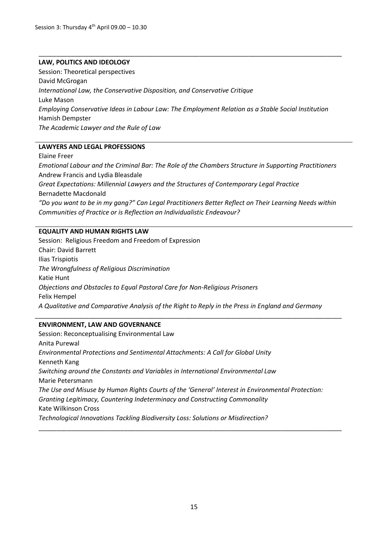#### **LAW, POLITICS AND IDEOLOGY**

Session: Theoretical perspectives David McGrogan *International Law, the Conservative Disposition, and Conservative Critique*  Luke Mason *Employing Conservative Ideas in Labour Law: The Employment Relation as a Stable Social Institution*  Hamish Dempster *The Academic Lawyer and the Rule of Law* 

\_\_\_\_\_\_\_\_\_\_\_\_\_\_\_\_\_\_\_\_\_\_\_\_\_\_\_\_\_\_\_\_\_\_\_\_\_\_\_\_\_\_\_\_\_\_\_\_\_\_\_\_\_\_\_\_\_\_\_\_\_\_\_\_\_\_\_\_\_\_\_\_\_\_\_\_\_\_\_\_\_\_\_\_\_

#### **LAWYERS AND LEGAL PROFESSIONS**

Elaine Freer *Emotional Labour and the Criminal Bar: The Role of the Chambers Structure in Supporting Practitioners* Andrew Francis and Lydia Bleasdale *Great Expectations: Millennial Lawyers and the Structures of Contemporary Legal Practice* Bernadette Macdonald *"Do you want to be in my gang?" Can Legal Practitioners Better Reflect on Their Learning Needs within Communities of Practice or is Reflection an Individualistic Endeavour?*

#### **EQUALITY AND HUMAN RIGHTS LAW**

Session: Religious Freedom and Freedom of Expression Chair: David Barrett Ilias Trispiotis *The Wrongfulness of Religious Discrimination* Katie Hunt *Objections and Obstacles to Equal Pastoral Care for Non-Religious Prisoners* Felix Hempel *A Qualitative and Comparative Analysis of the Right to Reply in the Press in England and Germany*

\_\_\_\_\_\_\_\_\_\_\_\_\_\_\_\_\_\_\_\_\_\_\_\_\_\_\_\_\_\_\_\_\_\_\_\_\_\_\_\_\_\_\_\_\_\_\_\_\_\_\_\_\_\_\_\_\_\_\_\_\_\_\_\_\_\_\_\_\_\_\_\_\_\_\_\_\_\_\_\_\_\_\_\_\_\_

#### **ENVIRONMENT, LAW AND GOVERNANCE**

Session: Reconceptualising Environmental Law Anita Purewal *Environmental Protections and Sentimental Attachments: A Call for Global Unity* Kenneth Kang *Switching around the Constants and Variables in International Environmental Law* Marie Petersmann *The Use and Misuse by Human Rights Courts of the 'General' Interest in Environmental Protection: Granting Legitimacy, Countering Indeterminacy and Constructing Commonality* Kate Wilkinson Cross *Technological Innovations Tackling Biodiversity Loss: Solutions or Misdirection?*

\_\_\_\_\_\_\_\_\_\_\_\_\_\_\_\_\_\_\_\_\_\_\_\_\_\_\_\_\_\_\_\_\_\_\_\_\_\_\_\_\_\_\_\_\_\_\_\_\_\_\_\_\_\_\_\_\_\_\_\_\_\_\_\_\_\_\_\_\_\_\_\_\_\_\_\_\_\_\_\_\_\_\_\_\_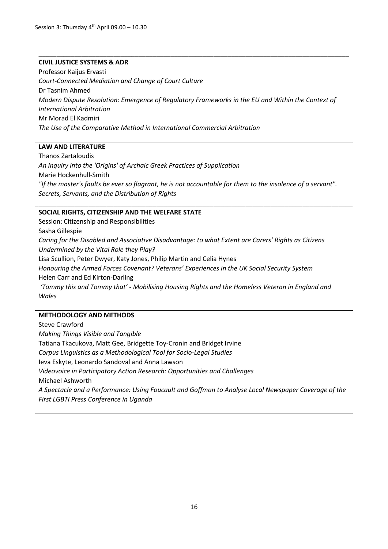#### **CIVIL JUSTICE SYSTEMS & ADR**

Professor Kaijus Ervasti *Court-Connected Mediation and Change of Court Culture* Dr Tasnim Ahmed *Modern Dispute Resolution: Emergence of Regulatory Frameworks in the EU and Within the Context of International Arbitration* Mr Morad El Kadmiri *The Use of the Comparative Method in International Commercial Arbitration*

\_\_\_\_\_\_\_\_\_\_\_\_\_\_\_\_\_\_\_\_\_\_\_\_\_\_\_\_\_\_\_\_\_\_\_\_\_\_\_\_\_\_\_\_\_\_\_\_\_\_\_\_\_\_\_\_\_\_\_\_\_\_\_\_\_\_\_\_\_\_\_\_\_\_\_\_\_\_\_\_\_\_\_\_\_\_\_

#### **LAW AND LITERATURE**

Thanos Zartaloudis *An Inquiry into the 'Origins' of Archaic Greek Practices of Supplication* Marie Hockenhull-Smith *"If the master's faults be ever so flagrant, he is not accountable for them to the insolence of a servant". Secrets, Servants, and the Distribution of Rights*

\_\_\_\_\_\_\_\_\_\_\_\_\_\_\_\_\_\_\_\_\_\_\_\_\_\_\_\_\_\_\_\_\_\_\_\_\_\_\_\_\_\_\_\_\_\_\_\_\_\_\_\_\_\_\_\_\_\_\_\_\_\_\_\_\_\_\_\_\_\_\_\_\_\_\_\_\_\_\_\_\_\_\_\_\_\_\_\_\_

#### **SOCIAL RIGHTS, CITIZENSHIP AND THE WELFARE STATE**

Session: Citizenship and Responsibilities Sasha Gillespie

*Caring for the Disabled and Associative Disadvantage: to what Extent are Carers' Rights as Citizens Undermined by the Vital Role they Play?*

Lisa Scullion, Peter Dwyer, Katy Jones, Philip Martin and Celia Hynes

*Honouring the Armed Forces Covenant? Veterans' Experiences in the UK Social Security System* Helen Carr and Ed Kirton-Darling

*'Tommy this and Tommy that' - Mobilising Housing Rights and the Homeless Veteran in England and Wales*

#### **METHODOLOGY AND METHODS**

Steve Crawford *Making Things Visible and Tangible* Tatiana Tkacukova, Matt Gee, Bridgette Toy-Cronin and Bridget Irvine *Corpus Linguistics as a Methodological Tool for Socio-Legal Studies*  Ieva Eskyte, Leonardo Sandoval and Anna Lawson *Videovoice in Participatory Action Research: Opportunities and Challenges* Michael Ashworth *A Spectacle and a Performance: Using Foucault and Goffman to Analyse Local Newspaper Coverage of the First LGBTI Press Conference in Uganda*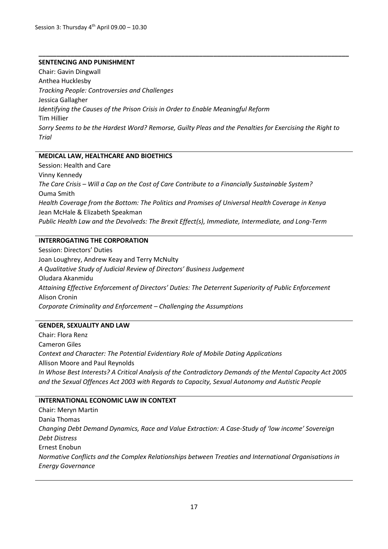#### **SENTENCING AND PUNISHMENT**

Chair: Gavin Dingwall Anthea Hucklesby *Tracking People: Controversies and Challenges* Jessica Gallagher *Identifying the Causes of the Prison Crisis in Order to Enable Meaningful Reform* Tim Hillier *Sorry Seems to be the Hardest Word? Remorse, Guilty Pleas and the Penalties for Exercising the Right to Trial*

**\_\_\_\_\_\_\_\_\_\_\_\_\_\_\_\_\_\_\_\_\_\_\_\_\_\_\_\_\_\_\_\_\_\_\_\_\_\_\_\_\_\_\_\_\_\_\_\_\_\_\_\_\_\_\_\_\_\_\_\_\_\_\_\_\_\_\_\_\_\_\_\_\_\_\_\_\_\_\_\_\_\_\_\_\_\_\_**

#### **MEDICAL LAW, HEALTHCARE AND BIOETHICS**

Session: Health and Care Vinny Kennedy *The Care Crisis – Will a Cap on the Cost of Care Contribute to a Financially Sustainable System?*  Ouma Smith *Health Coverage from the Bottom: The Politics and Promises of Universal Health Coverage in Kenya*  Jean McHale & Elizabeth Speakman *Public Health Law and the Devolveds: The Brexit Effect(s), Immediate, Intermediate, and Long-Term*

#### **INTERROGATING THE CORPORATION**

Session: Directors' Duties Joan Loughrey, Andrew Keay and Terry McNulty *A Qualitative Study of Judicial Review of Directors' Business Judgement* Oludara Akanmidu *Attaining Effective Enforcement of Directors' Duties: The Deterrent Superiority of Public Enforcement* Alison Cronin *Corporate Criminality and Enforcement – Challenging the Assumptions*

#### **GENDER, SEXUALITY AND LAW**

Chair: Flora Renz Cameron Giles *Context and Character: The Potential Evidentiary Role of Mobile Dating Applications* Allison Moore and Paul Reynolds *In Whose Best Interests? A Critical Analysis of the Contradictory Demands of the Mental Capacity Act 2005 and the Sexual Offences Act 2003 with Regards to Capacity, Sexual Autonomy and Autistic People*

#### **INTERNATIONAL ECONOMIC LAW IN CONTEXT**

Chair: Meryn Martin Dania Thomas *Changing Debt Demand Dynamics, Race and Value Extraction: A Case-Study of 'low income' Sovereign Debt Distress* Ernest Enobun *Normative Conflicts and the Complex Relationships between Treaties and International Organisations in Energy Governance*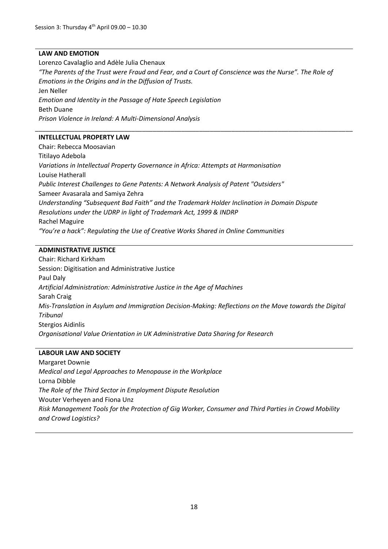#### **LAW AND EMOTION**

Lorenzo Cavalaglio and Adèle Julia Chenaux

*"The Parents of the Trust were Fraud and Fear, and a Court of Conscience was the Nurse". The Role of Emotions in the Origins and in the Diffusion of Trusts.*

\_\_\_\_\_\_\_\_\_\_\_\_\_\_\_\_\_\_\_\_\_\_\_\_\_\_\_\_\_\_\_\_\_\_\_\_\_\_\_\_\_\_\_\_\_\_\_\_\_\_\_\_\_\_\_\_\_\_\_\_\_\_\_\_\_\_\_\_\_\_\_\_\_\_\_\_\_\_\_\_\_\_\_\_\_\_\_\_\_

Jen Neller

*Emotion and Identity in the Passage of Hate Speech Legislation* Beth Duane

*Prison Violence in Ireland: A Multi-Dimensional Analysis*

#### **INTELLECTUAL PROPERTY LAW**

Chair: Rebecca Moosavian Titilayo Adebola *Variations in Intellectual Property Governance in Africa: Attempts at Harmonisation* Louise Hatherall *Public Interest Challenges to Gene Patents: A Network Analysis of Patent "Outsiders"* Sameer Avasarala and Samiya Zehra *Understanding "Subsequent Bad Faith" and the Trademark Holder Inclination in Domain Dispute Resolutions under the UDRP in light of Trademark Act, 1999 & INDRP* Rachel Maguire *"You're a hack": Regulating the Use of Creative Works Shared in Online Communities*

#### **ADMINISTRATIVE JUSTICE**

Chair: Richard Kirkham Session: Digitisation and Administrative Justice Paul Daly *Artificial Administration: Administrative Justice in the Age of Machines* Sarah Craig *Mis-Translation in Asylum and Immigration Decision-Making: Reflections on the Move towards the Digital Tribunal* Stergios Aidinlis *Organisational Value Orientation in UK Administrative Data Sharing for Research*

#### **LABOUR LAW AND SOCIETY**

Margaret Downie *Medical and Legal Approaches to Menopause in the Workplace* Lorna Dibble *The Role of the Third Sector in Employment Dispute Resolution* Wouter Verheyen and Fiona Unz *Risk Management Tools for the Protection of Gig Worker, Consumer and Third Parties in Crowd Mobility and Crowd Logistics?*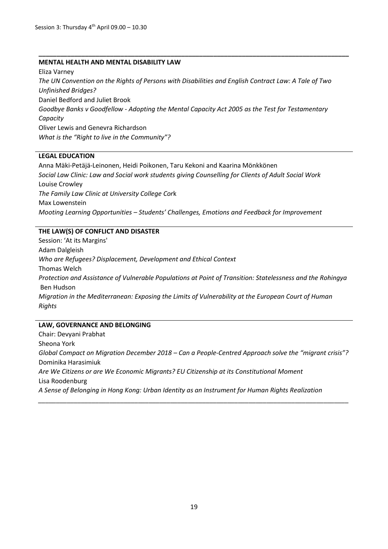#### **MENTAL HEALTH AND MENTAL DISABILITY LAW**

Eliza Varney *The UN Convention on the Rights of Persons with Disabilities and English Contract Law: A Tale of Two Unfinished Bridges?*  Daniel Bedford and Juliet Brook *Goodbye Banks v Goodfellow - Adopting the Mental Capacity Act 2005 as the Test for Testamentary Capacity*  Oliver Lewis and Genevra Richardson *What is the "Right to live in the Community"?*

**\_\_\_\_\_\_\_\_\_\_\_\_\_\_\_\_\_\_\_\_\_\_\_\_\_\_\_\_\_\_\_\_\_\_\_\_\_\_\_\_\_\_\_\_\_\_\_\_\_\_\_\_\_\_\_\_\_\_\_\_\_\_\_\_\_\_\_\_\_\_\_\_\_\_\_\_\_\_\_\_\_\_\_\_\_\_\_**

#### **LEGAL EDUCATION**

Anna Mäki-Petäjä-Leinonen, Heidi Poikonen, Taru Kekoni and Kaarina Mönkkönen *Social Law Clinic: Law and Social work students giving Counselling for Clients of Adult Social Work* Louise Crowley *The Family Law Clinic at University College Cor*k Max Lowenstein *Mooting Learning Opportunities – Students' Challenges, Emotions and Feedback for Improvement*

#### **THE LAW(S) OF CONFLICT AND DISASTER**

Session: 'At its Margins' Adam Dalgleish *Who are Refugees? Displacement, Development and Ethical Context* Thomas Welch *Protection and Assistance of Vulnerable Populations at Point of Transition: Statelessness and the Rohingya* Ben Hudson *Migration in the Mediterranean: Exposing the Limits of Vulnerability at the European Court of Human Rights*

#### **LAW, GOVERNANCE AND BELONGING**

Chair: Devyani Prabhat Sheona York *Global Compact on Migration December 2018 – Can a People-Centred Approach solve the "migrant crisis"?* Dominika Harasimiuk *Are We Citizens or are We Economic Migrants? EU Citizenship at its Constitutional Moment* Lisa Roodenburg *A Sense of Belonging in Hong Kong: Urban Identity as an Instrument for Human Rights Realization \_\_\_\_\_\_\_\_\_\_\_\_\_\_\_\_\_\_\_\_\_\_\_\_\_\_\_\_\_\_\_\_\_\_\_\_\_\_\_\_\_\_\_\_\_\_\_\_\_\_\_\_\_\_\_\_\_\_\_\_\_\_\_\_\_\_\_\_\_\_\_\_\_\_\_\_\_\_\_\_\_\_\_\_\_\_\_*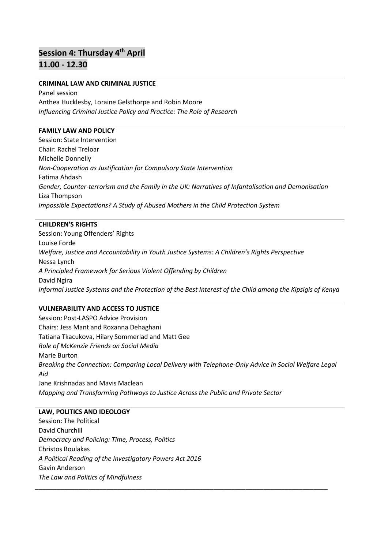# **Session 4: Thursday 4th April 11.00 - 12.30**

#### **CRIMINAL LAW AND CRIMINAL JUSTICE**

Panel session Anthea Hucklesby, Loraine Gelsthorpe and Robin Moore *Influencing Criminal Justice Policy and Practice: The Role of Research*

#### **FAMILY LAW AND POLICY**

Session: State Intervention Chair: Rachel Treloar Michelle Donnelly *Non-Cooperation as Justification for Compulsory State Intervention* Fatima Ahdash *Gender, Counter-terrorism and the Family in the UK: Narratives of Infantalisation and Demonisation* Liza Thompson *Impossible Expectations? A Study of Abused Mothers in the Child Protection System*

#### **CHILDREN'S RIGHTS**

Session: Young Offenders' Rights Louise Forde *Welfare, Justice and Accountability in Youth Justice Systems: A Children's Rights Perspective* Nessa Lynch *A Principled Framework for Serious Violent Offending by Children* David Ngira *Informal Justice Systems and the Protection of the Best Interest of the Child among the Kipsigis of Kenya*

#### **VULNERABILITY AND ACCESS TO JUSTICE**

Session: Post-LASPO Advice Provision Chairs: Jess Mant and Roxanna Dehaghani Tatiana Tkacukova, Hilary Sommerlad and Matt Gee *Role of McKenzie Friends on Social Media* Marie Burton *Breaking the Connection: Comparing Local Delivery with Telephone-Only Advice in Social Welfare Legal Aid* Jane Krishnadas and Mavis Maclean *Mapping and Transforming Pathways to Justice Across the Public and Private Sector*

\_\_\_\_\_\_\_\_\_\_\_\_\_\_\_\_\_\_\_\_\_\_\_\_\_\_\_\_\_\_\_\_\_\_\_\_\_\_\_\_\_\_\_\_\_\_\_\_\_\_\_\_\_\_\_\_\_\_\_\_\_\_\_\_\_\_\_\_\_\_\_\_\_\_\_\_\_\_\_\_\_\_

#### **LAW, POLITICS AND IDEOLOGY**

Session: The Political David Churchill *Democracy and Policing: Time, Process, Politics* Christos Boulakas *A Political Reading of the Investigatory Powers Act 2016* Gavin Anderson *The Law and Politics of Mindfulness*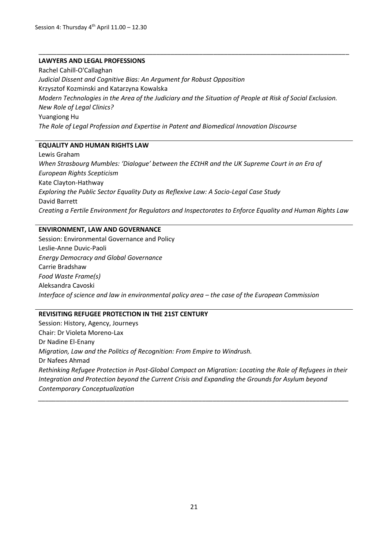#### **LAWYERS AND LEGAL PROFESSIONS**

Rachel Cahill-O'Callaghan *Judicial Dissent and Cognitive Bias: An Argument for Robust Opposition* Krzysztof Kozminski and Katarzyna Kowalska *Modern Technologies in the Area of the Judiciary and the Situation of People at Risk of Social Exclusion. New Role of Legal Clinics?* Yuangiong Hu *The Role of Legal Profession and Expertise in Patent and Biomedical Innovation Discourse*

\_\_\_\_\_\_\_\_\_\_\_\_\_\_\_\_\_\_\_\_\_\_\_\_\_\_\_\_\_\_\_\_\_\_\_\_\_\_\_\_\_\_\_\_\_\_\_\_\_\_\_\_\_\_\_\_\_\_\_\_\_\_\_\_\_\_\_\_\_\_\_\_\_\_\_\_\_\_\_\_\_\_\_\_\_\_\_

#### **EQUALITY AND HUMAN RIGHTS LAW**

Lewis Graham *When Strasbourg Mumbles: 'Dialogue' between the ECtHR and the UK Supreme Court in an Era of European Rights Scepticism*  Kate Clayton-Hathway *Exploring the Public Sector Equality Duty as Reflexive Law: A Socio-Legal Case Study* David Barrett *Creating a Fertile Environment for Regulators and Inspectorates to Enforce Equality and Human Rights Law*

#### **ENVIRONMENT, LAW AND GOVERNANCE**

Session: Environmental Governance and Policy Leslie-Anne Duvic-Paoli *Energy Democracy and Global Governance* Carrie Bradshaw *Food Waste Frame(s)* Aleksandra Cavoski *Interface of science and law in environmental policy area – the case of the European Commission*

#### **REVISITING REFUGEE PROTECTION IN THE 21ST CENTURY**

Session: History, Agency, Journeys Chair: Dr Violeta Moreno-Lax Dr Nadine El-Enany *Migration, Law and the Politics of Recognition: From Empire to Windrush.* Dr Nafees Ahmad *Rethinking Refugee Protection in Post-Global Compact on Migration: Locating the Role of Refugees in their Integration and Protection beyond the Current Crisis and Expanding the Grounds for Asylum beyond Contemporary Conceptualization \_\_\_\_\_\_\_\_\_\_\_\_\_\_\_\_\_\_\_\_\_\_\_\_\_\_\_\_\_\_\_\_\_\_\_\_\_\_\_\_\_\_\_\_\_\_\_\_\_\_\_\_\_\_\_\_\_\_\_\_\_\_\_\_\_\_\_\_\_\_\_\_\_\_\_\_\_\_\_\_\_\_\_\_\_\_\_*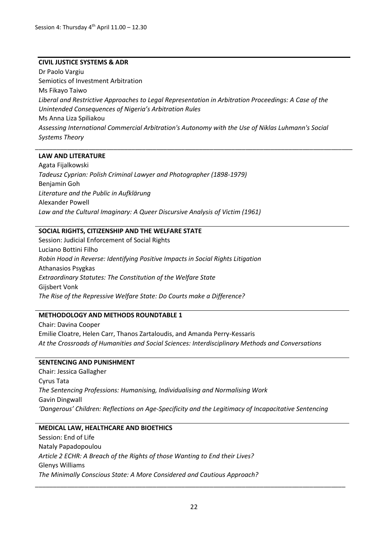#### **CIVIL JUSTICE SYSTEMS & ADR**

Dr Paolo Vargiu Semiotics of Investment Arbitration Ms Fikayo Taiwo *Liberal and Restrictive Approaches to Legal Representation in Arbitration Proceedings: A Case of the Unintended Consequences of Nigeria's Arbitration Rules* Ms Anna Liza Spiliakou *Assessing International Commercial Arbitration's Autonomy with the Use of Niklas Luhmann's Social Systems Theory*

\_\_\_\_\_\_\_\_\_\_\_\_\_\_\_\_\_\_\_\_\_\_\_\_\_\_\_\_\_\_\_\_\_\_\_\_\_\_\_\_\_\_\_\_\_\_\_\_\_\_\_\_\_\_\_\_\_\_\_\_\_\_\_\_\_\_\_\_\_\_\_\_\_\_\_\_\_\_\_\_\_\_\_\_\_\_\_\_\_

#### **LAW AND LITERATURE**

Agata Fijalkowski *Tadeusz Cyprian: Polish Criminal Lawyer and Photographer (1898-1979)* Benjamin Goh *Literature and the Public in Aufklärung* Alexander Powell *Law and the Cultural Imaginary: A Queer Discursive Analysis of Victim (1961)*

#### **SOCIAL RIGHTS, CITIZENSHIP AND THE WELFARE STATE**

Session: Judicial Enforcement of Social Rights Luciano Bottini Filho *Robin Hood in Reverse: Identifying Positive Impacts in Social Rights Litigation* Athanasios Psygkas *Extraordinary Statutes: The Constitution of the Welfare State* Gijsbert Vonk *The Rise of the Repressive Welfare State: Do Courts make a Difference?*

#### **METHODOLOGY AND METHODS ROUNDTABLE 1**

Chair: Davina Cooper Emilie Cloatre, Helen Carr, Thanos Zartaloudis, and Amanda Perry-Kessaris *At the Crossroads of Humanities and Social Sciences: Interdisciplinary Methods and Conversations*

#### **SENTENCING AND PUNISHMENT**

Chair: Jessica Gallagher Cyrus Tata *The Sentencing Professions: Humanising, Individualising and Normalising Work* Gavin Dingwall *'Dangerous' Children: Reflections on Age-Specificity and the Legitimacy of Incapacitative Sentencing*

#### **MEDICAL LAW, HEALTHCARE AND BIOETHICS**

Session: End of Life Nataly Papadopoulou *Article 2 ECHR: A Breach of the Rights of those Wanting to End their Lives?* Glenys Williams *The Minimally Conscious State: A More Considered and Cautious Approach?* 

\_\_\_\_\_\_\_\_\_\_\_\_\_\_\_\_\_\_\_\_\_\_\_\_\_\_\_\_\_\_\_\_\_\_\_\_\_\_\_\_\_\_\_\_\_\_\_\_\_\_\_\_\_\_\_\_\_\_\_\_\_\_\_\_\_\_\_\_\_\_\_\_\_\_\_\_\_\_\_\_\_\_\_\_\_\_\_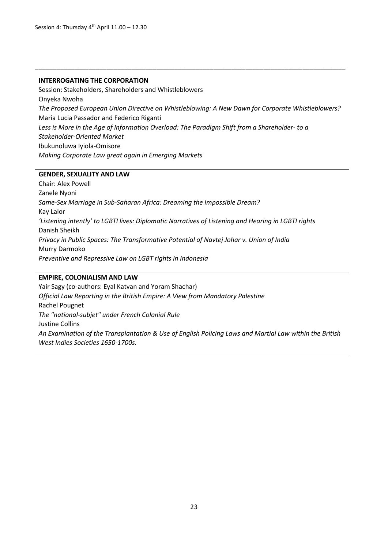#### **INTERROGATING THE CORPORATION**

Session: Stakeholders, Shareholders and Whistleblowers Onyeka Nwoha *The Proposed European Union Directive on Whistleblowing: A New Dawn for Corporate Whistleblowers?* Maria Lucia Passador and Federico Riganti *Less is More in the Age of Information Overload: The Paradigm Shift from a Shareholder- to a Stakeholder-Oriented Market* Ibukunoluwa Iyiola-Omisore *Making Corporate Law great again in Emerging Markets*

\_\_\_\_\_\_\_\_\_\_\_\_\_\_\_\_\_\_\_\_\_\_\_\_\_\_\_\_\_\_\_\_\_\_\_\_\_\_\_\_\_\_\_\_\_\_\_\_\_\_\_\_\_\_\_\_\_\_\_\_\_\_\_\_\_\_\_\_\_\_\_\_\_\_\_\_\_\_\_\_\_\_\_\_\_\_\_

#### **GENDER, SEXUALITY AND LAW**

Chair: Alex Powell Zanele Nyoni *Same-Sex Marriage in Sub-Saharan Africa: Dreaming the Impossible Dream?* Kay Lalor *'Listening intently' to LGBTI lives: Diplomatic Narratives of Listening and Hearing in LGBTI rights* Danish Sheikh *Privacy in Public Spaces: The Transformative Potential of Navtej Johar v. Union of India* Murry Darmoko *Preventive and Repressive Law on LGBT rights in Indonesia*

#### **EMPIRE, COLONIALISM AND LAW**

Yair Sagy (co-authors: Eyal Katvan and Yoram Shachar) *Official Law Reporting in the British Empire: A View from Mandatory Palestine* Rachel Pougnet *The "national-subjet" under French Colonial Rule* Justine Collins *An Examination of the Transplantation & Use of English Policing Laws and Martial Law within the British West Indies Societies 1650-1700s.*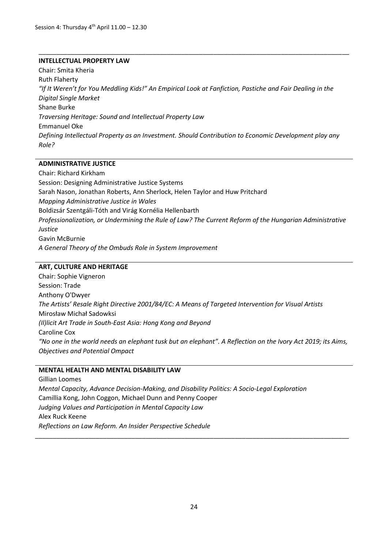#### **INTELLECTUAL PROPERTY LAW**

Chair: Smita Kheria Ruth Flaherty *"If It Weren't for You Meddling Kids!" An Empirical Look at Fanfiction, Pastiche and Fair Dealing in the Digital Single Market* Shane Burke *Traversing Heritage: Sound and Intellectual Property Law* Emmanuel Oke *Defining Intellectual Property as an Investment. Should Contribution to Economic Development play any Role?*

\_\_\_\_\_\_\_\_\_\_\_\_\_\_\_\_\_\_\_\_\_\_\_\_\_\_\_\_\_\_\_\_\_\_\_\_\_\_\_\_\_\_\_\_\_\_\_\_\_\_\_\_\_\_\_\_\_\_\_\_\_\_\_\_\_\_\_\_\_\_\_\_\_\_\_\_\_\_\_\_\_\_\_\_\_\_\_

#### **ADMINISTRATIVE JUSTICE**

Chair: Richard Kirkham Session: Designing Administrative Justice Systems Sarah Nason, Jonathan Roberts, Ann Sherlock, Helen Taylor and Huw Pritchard *Mapping Administrative Justice in Wales* Boldizsár Szentgáli-Tóth and Virág Kornélia Hellenbarth *Professionalization, or Undermining the Rule of Law? The Current Reform of the Hungarian Administrative Justice* Gavin McBurnie *A General Theory of the Ombuds Role in System Improvement*

#### **ART, CULTURE AND HERITAGE**

Chair: Sophie Vigneron Session: Trade Anthony O'Dwyer *The Artists' Resale Right Directive 2001/84/EC: A Means of Targeted Intervention for Visual Artists*  Mirosław Michał Sadowksi *(Il)licit Art Trade in South-East Asia: Hong Kong and Beyond*  Caroline Cox *"No one in the world needs an elephant tusk but an elephant". A Reflection on the Ivory Act 2019; its Aims, Objectives and Potential Ompact*

#### **MENTAL HEALTH AND MENTAL DISABILITY LAW**

Gillian Loomes *Mental Capacity, Advance Decision-Making, and Disability Politics: A Socio-Legal Exploration*  Camillia Kong, John Coggon, Michael Dunn and Penny Cooper *Judging Values and Participation in Mental Capacity Law*  Alex Ruck Keene *Reflections on Law Reform. An Insider Perspective Schedule* 

\_\_\_\_\_\_\_\_\_\_\_\_\_\_\_\_\_\_\_\_\_\_\_\_\_\_\_\_\_\_\_\_\_\_\_\_\_\_\_\_\_\_\_\_\_\_\_\_\_\_\_\_\_\_\_\_\_\_\_\_\_\_\_\_\_\_\_\_\_\_\_\_\_\_\_\_\_\_\_\_\_\_\_\_\_\_\_\_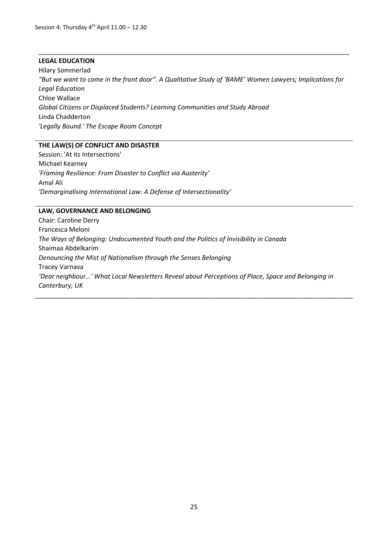#### **LEGAL EDUCATION**

Hilary Sommerlad *"But we want to come in the front door". A Qualitative Study of 'BAME' Women Lawyers; Implications for Legal Education* Chloe Wallace *Global Citizens or Displaced Students? Learning Communities and Study Abroad* Linda Chadderton *'Legally Bound.' The Escape Room Concept*

\_\_\_\_\_\_\_\_\_\_\_\_\_\_\_\_\_\_\_\_\_\_\_\_\_\_\_\_\_\_\_\_\_\_\_\_\_\_\_\_\_\_\_\_\_\_\_\_\_\_\_\_\_\_\_\_\_\_\_\_\_\_\_\_\_\_\_\_\_\_\_\_\_\_\_\_\_\_\_\_\_\_\_\_\_\_\_

#### **THE LAW(S) OF CONFLICT AND DISASTER**

Session: 'At its Intersections' Michael Kearney *'Framing Resilience: From Disaster to Conflict via Austerity'* Amal Ali *'Demarginalising International Law: A Defense of Intersectionality'*

#### **LAW, GOVERNANCE AND BELONGING**

Chair: Caroline Derry Francesca Meloni *The Ways of Belonging: Undocumented Youth and the Politics of Invisibility in Canada* Shaimaa Abdelkarim *Denouncing the Mist of Nationalism through the Senses Belonging* Tracey Varnava *'Dear neighbour…' What Local Newsletters Reveal about Perceptions of Place, Space and Belonging in Canterbury, UK*

\_\_\_\_\_\_\_\_\_\_\_\_\_\_\_\_\_\_\_\_\_\_\_\_\_\_\_\_\_\_\_\_\_\_\_\_\_\_\_\_\_\_\_\_\_\_\_\_\_\_\_\_\_\_\_\_\_\_\_\_\_\_\_\_\_\_\_\_\_\_\_\_\_\_\_\_\_\_\_\_\_\_\_\_\_\_\_\_\_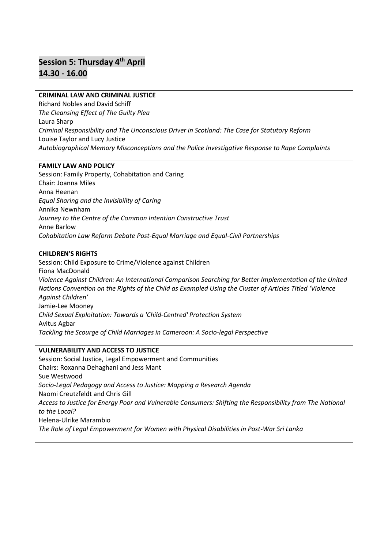# **Session 5: Thursday 4th April 14.30 - 16.00**

#### **CRIMINAL LAW AND CRIMINAL JUSTICE**

Richard Nobles and David Schiff *The Cleansing Effect of The Guilty Plea* Laura Sharp *Criminal Responsibility and The Unconscious Driver in Scotland: The Case for Statutory Reform* Louise Taylor and Lucy Justice *Autobiographical Memory Misconceptions and the Police Investigative Response to Rape Complaints*

#### **FAMILY LAW AND POLICY**

Session: Family Property, Cohabitation and Caring Chair: Joanna Miles Anna Heenan *Equal Sharing and the Invisibility of Caring* Annika Newnham *Journey to the Centre of the Common Intention Constructive Trust* Anne Barlow *Cohabitation Law Reform Debate Post-Equal Marriage and Equal-Civil Partnerships*

#### **CHILDREN'S RIGHTS**

Session: Child Exposure to Crime/Violence against Children Fiona MacDonald *Violence Against Children: An International Comparison Searching for Better Implementation of the United Nations Convention on the Rights of the Child as Exampled Using the Cluster of Articles Titled 'Violence Against Children'* Jamie-Lee Mooney *Child Sexual Exploitation: Towards a 'Child-Centred' Protection System* Avitus Agbar *Tackling the Scourge of Child Marriages in Cameroon: A Socio-legal Perspective*

#### **VULNERABILITY AND ACCESS TO JUSTICE**

Session: Social Justice, Legal Empowerment and Communities Chairs: Roxanna Dehaghani and Jess Mant Sue Westwood *Socio-Legal Pedagogy and Access to Justice: Mapping a Research Agenda* Naomi Creutzfeldt and Chris Gill *Access to Justice for Energy Poor and Vulnerable Consumers: Shifting the Responsibility from The National to the Local?* Helena-Ulrike Marambio *The Role of Legal Empowerment for Women with Physical Disabilities in Post-War Sri Lanka*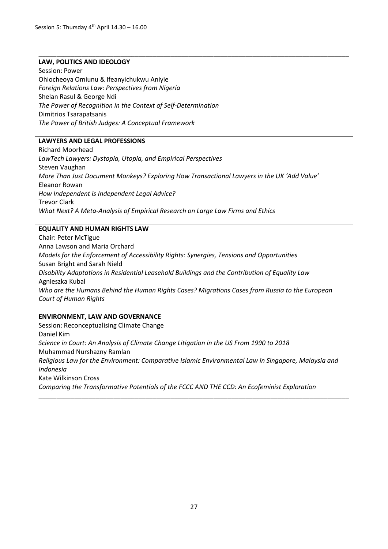#### **LAW, POLITICS AND IDEOLOGY**

Session: Power Ohiocheoya Omiunu & Ifeanyichukwu Aniyie *Foreign Relations Law: Perspectives from Nigeria* Shelan Rasul & George Ndi *The Power of Recognition in the Context of Self-Determination* Dimitrios Tsarapatsanis *The Power of British Judges: A Conceptual Framework*

#### **LAWYERS AND LEGAL PROFESSIONS**

Richard Moorhead *LawTech Lawyers: Dystopia, Utopia, and Empirical Perspectives* Steven Vaughan *More Than Just Document Monkeys? Exploring How Transactional Lawyers in the UK 'Add Value'* Eleanor Rowan *How Independent is Independent Legal Advice?* Trevor Clark *What Next? A Meta-Analysis of Empirical Research on Large Law Firms and Ethics*

\_\_\_\_\_\_\_\_\_\_\_\_\_\_\_\_\_\_\_\_\_\_\_\_\_\_\_\_\_\_\_\_\_\_\_\_\_\_\_\_\_\_\_\_\_\_\_\_\_\_\_\_\_\_\_\_\_\_\_\_\_\_\_\_\_\_\_\_\_\_\_\_\_\_\_\_\_\_\_\_\_\_\_\_\_\_\_

#### **EQUALITY AND HUMAN RIGHTS LAW**

Chair: Peter McTigue Anna Lawson and Maria Orchard *Models for the Enforcement of Accessibility Rights: Synergies, Tensions and Opportunities* Susan Bright and Sarah Nield *Disability Adaptations in Residential Leasehold Buildings and the Contribution of Equality Law* Agnieszka Kubal *Who are the Humans Behind the Human Rights Cases? Migrations Cases from Russia to the European Court of Human Rights*

#### **ENVIRONMENT, LAW AND GOVERNANCE**

Session: Reconceptualising Climate Change Daniel Kim *Science in Court: An Analysis of Climate Change Litigation in the US From 1990 to 2018* Muhammad Nurshazny Ramlan *Religious Law for the Environment: Comparative Islamic Environmental Law in Singapore, Malaysia and Indonesia* Kate Wilkinson Cross *Comparing the Transformative Potentials of the FCCC AND THE CCD: An Ecofeminist Exploration* \_\_\_\_\_\_\_\_\_\_\_\_\_\_\_\_\_\_\_\_\_\_\_\_\_\_\_\_\_\_\_\_\_\_\_\_\_\_\_\_\_\_\_\_\_\_\_\_\_\_\_\_\_\_\_\_\_\_\_\_\_\_\_\_\_\_\_\_\_\_\_\_\_\_\_\_\_\_\_\_\_\_\_\_\_\_\_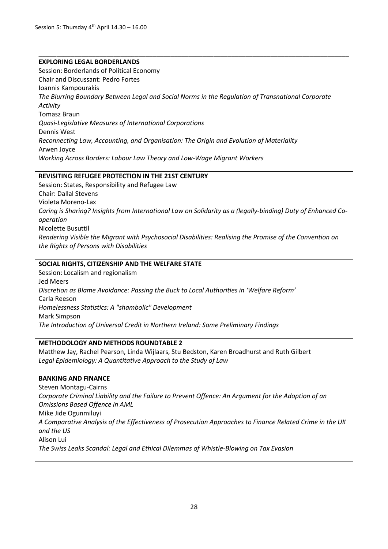#### **EXPLORING LEGAL BORDERLANDS**

Session: Borderlands of Political Economy Chair and Discussant: Pedro Fortes Ioannis Kampourakis *The Blurring Boundary Between Legal and Social Norms in the Regulation of Transnational Corporate Activity* Tomasz Braun *Quasi-Legislative Measures of International Corporations* Dennis West *Reconnecting Law, Accounting, and Organisation: The Origin and Evolution of Materiality* Arwen Joyce *Working Across Borders: Labour Law Theory and Low-Wage Migrant Workers*

\_\_\_\_\_\_\_\_\_\_\_\_\_\_\_\_\_\_\_\_\_\_\_\_\_\_\_\_\_\_\_\_\_\_\_\_\_\_\_\_\_\_\_\_\_\_\_\_\_\_\_\_\_\_\_\_\_\_\_\_\_\_\_\_\_\_\_\_\_\_\_\_\_\_\_\_\_\_\_\_\_\_\_\_\_\_\_

#### **REVISITING REFUGEE PROTECTION IN THE 21ST CENTURY**

Session: States, Responsibility and Refugee Law Chair: Dallal Stevens Violeta Moreno-Lax *Caring is Sharing? Insights from International Law on Solidarity as a (legally-binding) Duty of Enhanced Cooperation* Nicolette Busuttil *Rendering Visible the Migrant with Psychosocial Disabilities: Realising the Promise of the Convention on the Rights of Persons with Disabilities*

#### **SOCIAL RIGHTS, CITIZENSHIP AND THE WELFARE STATE**

Session: Localism and regionalism Jed Meers *Discretion as Blame Avoidance: Passing the Buck to Local Authorities in 'Welfare Reform'* Carla Reeson *Homelessness Statistics: A "shambolic" Development* Mark Simpson *The Introduction of Universal Credit in Northern Ireland: Some Preliminary Findings*

#### **METHODOLOGY AND METHODS ROUNDTABLE 2**

Matthew Jay, Rachel Pearson, Linda Wijlaars, Stu Bedston, Karen Broadhurst and Ruth Gilbert *Legal Epidemiology: A Quantitative Approach to the Study of Law* 

#### **BANKING AND FINANCE**

Steven Montagu-Cairns *Corporate Criminal Liability and the Failure to Prevent Offence: An Argument for the Adoption of an Omissions Based Offence in AML*  Mike Jide Ogunmiluyi *A Comparative Analysis of the Effectiveness of Prosecution Approaches to Finance Related Crime in the UK and the US* Alison Lui *The Swiss Leaks Scandal: Legal and Ethical Dilemmas of Whistle-Blowing on Tax Evasion*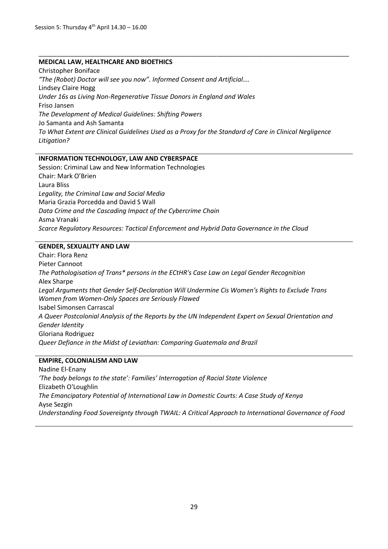#### **MEDICAL LAW, HEALTHCARE AND BIOETHICS**

Christopher Boniface *"The (Robot) Doctor will see you now". Informed Consent and Artificial….* Lindsey Claire Hogg *Under 16s as Living Non-Regenerative Tissue Donors in England and Wales* Friso Jansen *The Development of Medical Guidelines: Shifting Powers* Jo Samanta and Ash Samanta *To What Extent are Clinical Guidelines Used as a Proxy for the Standard of Care in Clinical Negligence Litigation?*

\_\_\_\_\_\_\_\_\_\_\_\_\_\_\_\_\_\_\_\_\_\_\_\_\_\_\_\_\_\_\_\_\_\_\_\_\_\_\_\_\_\_\_\_\_\_\_\_\_\_\_\_\_\_\_\_\_\_\_\_\_\_\_\_\_\_\_\_\_\_\_\_\_\_\_\_\_\_\_\_\_\_\_\_\_\_\_

#### **INFORMATION TECHNOLOGY, LAW AND CYBERSPACE**

Session: Criminal Law and New Information Technologies Chair: Mark O'Brien Laura Bliss *Legality, the Criminal Law and Social Media* Maria Grazia Porcedda and David S Wall *Data Crime and the Cascading Impact of the Cybercrime Chain* Asma Vranaki *Scarce Regulatory Resources: Tactical Enforcement and Hybrid Data Governance in the Cloud*

#### **GENDER, SEXUALITY AND LAW**

Chair: Flora Renz Pieter Cannoot *The Pathologisation of Trans\* persons in the ECtHR's Case Law on Legal Gender Recognition* Alex Sharpe *Legal Arguments that Gender Self-Declaration Will Undermine Cis Women's Rights to Exclude Trans Women from Women-Only Spaces are Seriously Flawed* Isabel Simonsen Carrascal *A Queer Postcolonial Analysis of the Reports by the UN Independent Expert on Sexual Orientation and Gender Identity* Gloriana Rodriguez *Queer Defiance in the Midst of Leviathan: Comparing Guatemala and Brazil*

#### **EMPIRE, COLONIALISM AND LAW**

Nadine El-Enany *'The body belongs to the state': Families' Interrogation of Racial State Violence* Elizabeth O'Loughlin *The Emancipatory Potential of International Law in Domestic Courts: A Case Study of Kenya* Ayse Sezgin *Understanding Food Sovereignty through TWAIL: A Critical Approach to International Governance of Food*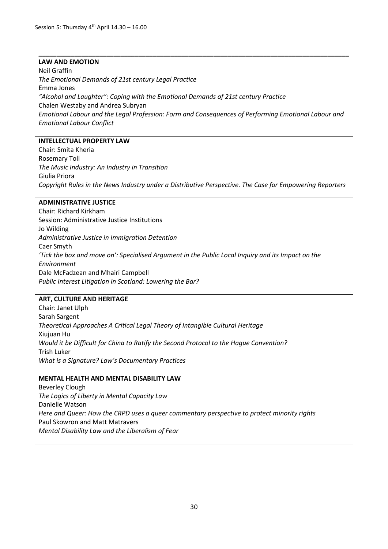#### **LAW AND EMOTION**

Neil Graffin *The Emotional Demands of 21st century Legal Practice* Emma Jones *"Alcohol and Laughter": Coping with the Emotional Demands of 21st century Practice* Chalen Westaby and Andrea Subryan *Emotional Labour and the Legal Profession: Form and Consequences of Performing Emotional Labour and Emotional Labour Conflict*

**\_\_\_\_\_\_\_\_\_\_\_\_\_\_\_\_\_\_\_\_\_\_\_\_\_\_\_\_\_\_\_\_\_\_\_\_\_\_\_\_\_\_\_\_\_\_\_\_\_\_\_\_\_\_\_\_\_\_\_\_\_\_\_\_\_\_\_\_\_\_\_\_\_\_\_\_\_\_\_\_\_\_\_\_\_\_\_**

#### **INTELLECTUAL PROPERTY LAW**

Chair: Smita Kheria Rosemary Toll *The Music Industry: An Industry in Transition* Giulia Priora *Copyright Rules in the News Industry under a Distributive Perspective. The Case for Empowering Reporters*

#### **ADMINISTRATIVE JUSTICE**

Chair: Richard Kirkham Session: Administrative Justice Institutions Jo Wilding *Administrative Justice in Immigration Detention* Caer Smyth *'Tick the box and move on': Specialised Argument in the Public Local Inquiry and its Impact on the Environment* Dale McFadzean and Mhairi Campbell *Public Interest Litigation in Scotland: Lowering the Bar?*

#### **ART, CULTURE AND HERITAGE**

Chair: Janet Ulph Sarah Sargent *Theoretical Approaches A Critical Legal Theory of Intangible Cultural Heritage*  Xiujuan Hu *Would it be Difficult for China to Ratify the Second Protocol to the Hague Convention?* Trish Luker *What is a Signature? Law's Documentary Practices*

#### **MENTAL HEALTH AND MENTAL DISABILITY LAW**

Beverley Clough *The Logics of Liberty in Mental Capacity Law*  Danielle Watson *Here and Queer: How the CRPD uses a queer commentary perspective to protect minority rights*  Paul Skowron and Matt Matravers *Mental Disability Law and the Liberalism of Fear*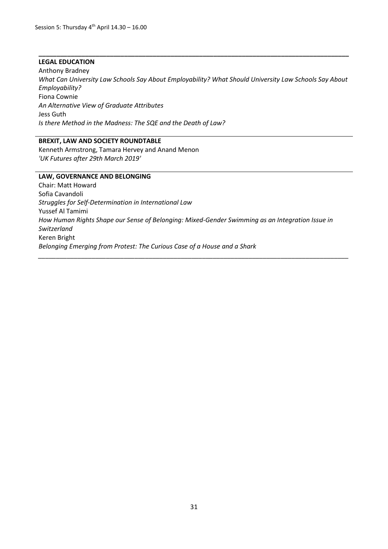#### **LEGAL EDUCATION**

Anthony Bradney *What Can University Law Schools Say About Employability? What Should University Law Schools Say About Employability?* Fiona Cownie *An Alternative View of Graduate Attributes* Jess Guth *Is there Method in the Madness: The SQE and the Death of Law?*

**\_\_\_\_\_\_\_\_\_\_\_\_\_\_\_\_\_\_\_\_\_\_\_\_\_\_\_\_\_\_\_\_\_\_\_\_\_\_\_\_\_\_\_\_\_\_\_\_\_\_\_\_\_\_\_\_\_\_\_\_\_\_\_\_\_\_\_\_\_\_\_\_\_\_\_\_\_\_\_\_\_\_\_\_\_\_\_**

#### **BREXIT, LAW AND SOCIETY ROUNDTABLE**

Kenneth Armstrong, Tamara Hervey and Anand Menon *'UK Futures after 29th March 2019'* 

#### **LAW, GOVERNANCE AND BELONGING**

Chair: Matt Howard Sofia Cavandoli *Struggles for Self-Determination in International Law* Yussef Al Tamimi *How Human Rights Shape our Sense of Belonging: Mixed-Gender Swimming as an Integration Issue in Switzerland* Keren Bright *Belonging Emerging from Protest: The Curious Case of a House and a Shark* 

*\_\_\_\_\_\_\_\_\_\_\_\_\_\_\_\_\_\_\_\_\_\_\_\_\_\_\_\_\_\_\_\_\_\_\_\_\_\_\_\_\_\_\_\_\_\_\_\_\_\_\_\_\_\_\_\_\_\_\_\_\_\_\_\_\_\_\_\_\_\_\_\_\_\_\_\_\_\_\_\_\_\_\_\_\_\_\_*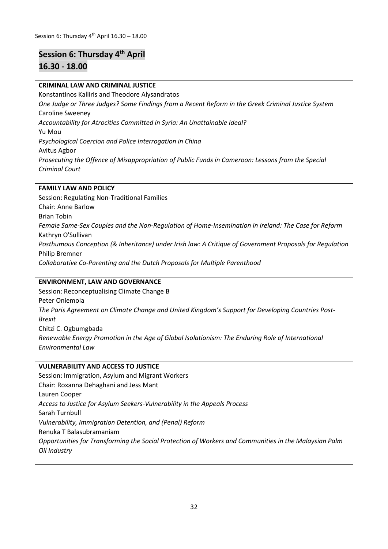### **Session 6: Thursday 4th April**

#### **16.30 - 18.00**

#### **CRIMINAL LAW AND CRIMINAL JUSTICE**

Konstantinos Kalliris and Theodore Alysandratos *One Judge or Three Judges? Some Findings from a Recent Reform in the Greek Criminal Justice System* Caroline Sweeney *Accountability for Atrocities Committed in Syria: An Unattainable Ideal?* Yu Mou *Psychological Coercion and Police Interrogation in China* Avitus Agbor *Prosecuting the Offence of Misappropriation of Public Funds in Cameroon: Lessons from the Special Criminal Court*

#### **FAMILY LAW AND POLICY**

Session: Regulating Non-Traditional Families Chair: Anne Barlow Brian Tobin *Female Same-Sex Couples and the Non-Regulation of Home-Insemination in Ireland: The Case for Reform* Kathryn O'Sullivan *Posthumous Conception (& Inheritance) under Irish law: A Critique of Government Proposals for Regulation* Philip Bremner *Collaborative Co-Parenting and the Dutch Proposals for Multiple Parenthood*

#### **ENVIRONMENT, LAW AND GOVERNANCE**

Session: Reconceptualising Climate Change B Peter Oniemola *The Paris Agreement on Climate Change and United Kingdom's Support for Developing Countries Post-Brexit* Chitzi C. Ogbumgbada *Renewable Energy Promotion in the Age of Global Isolationism: The Enduring Role of International Environmental Law*

#### **VULNERABILITY AND ACCESS TO JUSTICE**

Session: Immigration, Asylum and Migrant Workers Chair: Roxanna Dehaghani and Jess Mant Lauren Cooper *Access to Justice for Asylum Seekers-Vulnerability in the Appeals Process* Sarah Turnbull *Vulnerability, Immigration Detention, and (Penal) Reform* Renuka T Balasubramaniam *Opportunities for Transforming the Social Protection of Workers and Communities in the Malaysian Palm Oil Industry*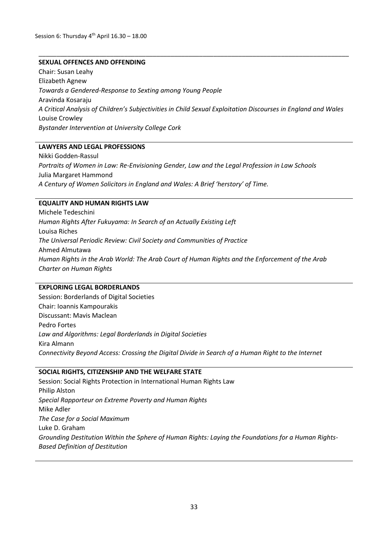#### **SEXUAL OFFENCES AND OFFENDING**

Chair: Susan Leahy Elizabeth Agnew *Towards a Gendered-Response to Sexting among Young People* Aravinda Kosaraju *A Critical Analysis of Children's Subjectivities in Child Sexual Exploitation Discourses in England and Wales* Louise Crowley *Bystander Intervention at University College Cork*

\_\_\_\_\_\_\_\_\_\_\_\_\_\_\_\_\_\_\_\_\_\_\_\_\_\_\_\_\_\_\_\_\_\_\_\_\_\_\_\_\_\_\_\_\_\_\_\_\_\_\_\_\_\_\_\_\_\_\_\_\_\_\_\_\_\_\_\_\_\_\_\_\_\_\_\_\_\_\_\_\_\_\_\_\_\_\_

#### **LAWYERS AND LEGAL PROFESSIONS**

Nikki Godden-Rassul *Portraits of Women in Law: Re-Envisioning Gender, Law and the Legal Profession in Law Schools* Julia Margaret Hammond *A Century of Women Solicitors in England and Wales: A Brief 'herstory' of Time.*

#### **EQUALITY AND HUMAN RIGHTS LAW**

Michele Tedeschini *Human Rights After Fukuyama: In Search of an Actually Existing Left* Louisa Riches *The Universal Periodic Review: Civil Society and Communities of Practice* Ahmed Almutawa *Human Rights in the Arab World: The Arab Court of Human Rights and the Enforcement of the Arab Charter on Human Rights*

#### **EXPLORING LEGAL BORDERLANDS**

Session: Borderlands of Digital Societies Chair: Ioannis Kampourakis Discussant: Mavis Maclean Pedro Fortes *Law and Algorithms: Legal Borderlands in Digital Societies* Kira Almann *Connectivity Beyond Access: Crossing the Digital Divide in Search of a Human Right to the Internet*

#### **SOCIAL RIGHTS, CITIZENSHIP AND THE WELFARE STATE**

Session: Social Rights Protection in International Human Rights Law Philip Alston *Special Rapporteur on Extreme Poverty and Human Rights*  Mike Adler *The Case for a Social Maximum* Luke D. Graham *Grounding Destitution Within the Sphere of Human Rights: Laying the Foundations for a Human Rights-Based Definition of Destitution*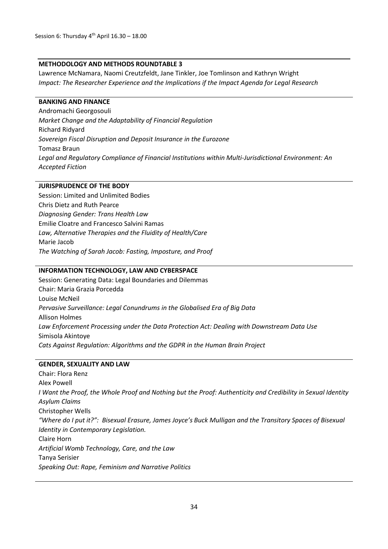#### **METHODOLOGY AND METHODS ROUNDTABLE 3**

Lawrence McNamara, Naomi Creutzfeldt, Jane Tinkler, Joe Tomlinson and Kathryn Wright *Impact: The Researcher Experience and the Implications if the Impact Agenda for Legal Research*

#### **BANKING AND FINANCE**

Andromachi Georgosouli *Market Change and the Adaptability of Financial Regulation* Richard Ridyard *Sovereign Fiscal Disruption and Deposit Insurance in the Eurozone*  Tomasz Braun *Legal and Regulatory Compliance of Financial Institutions within Multi-Jurisdictional Environment: An Accepted Fiction*

#### **JURISPRUDENCE OF THE BODY**

Session: Limited and Unlimited Bodies Chris Dietz and Ruth Pearce *Diagnosing Gender: Trans Health Law* Emilie Cloatre and Francesco Salvini Ramas *Law, Alternative Therapies and the Fluidity of Health/Care* Marie Jacob *The Watching of Sarah Jacob: Fasting, Imposture, and Proof*

#### **INFORMATION TECHNOLOGY, LAW AND CYBERSPACE**

Session: Generating Data: Legal Boundaries and Dilemmas Chair: Maria Grazia Porcedda Louise McNeil *Pervasive Surveillance: Legal Conundrums in the Globalised Era of Big Data* Allison Holmes *Law Enforcement Processing under the Data Protection Act: Dealing with Downstream Data Use* Simisola Akintoye *Cats Against Regulation: Algorithms and the GDPR in the Human Brain Project*

#### **GENDER, SEXUALITY AND LAW**

Chair: Flora Renz Alex Powell *I Want the Proof, the Whole Proof and Nothing but the Proof: Authenticity and Credibility in Sexual Identity Asylum Claims*  Christopher Wells *"Where do I put it?": Bisexual Erasure, James Joyce's Buck Mulligan and the Transitory Spaces of Bisexual Identity in Contemporary Legislation.*  Claire Horn *Artificial Womb Technology, Care, and the Law* Tanya Serisier *Speaking Out: Rape, Feminism and Narrative Politics*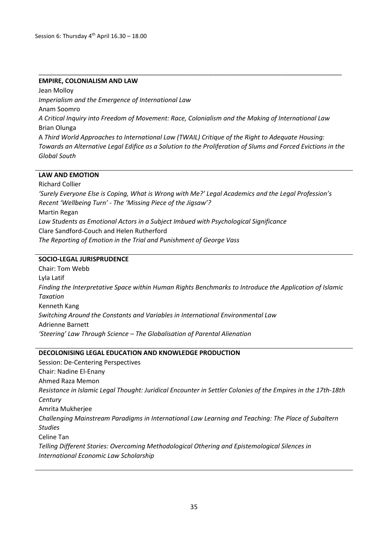#### **EMPIRE, COLONIALISM AND LAW**

Jean Molloy *Imperialism and the Emergence of International Law* Anam Soomro *A Critical Inquiry into Freedom of Movement: Race, Colonialism and the Making of International Law* Brian Olunga A *Third World Approaches to International Law (TWAIL) Critique of the Right to Adequate Housing: Towards an Alternative Legal Edifice as a Solution to the Proliferation of Slums and Forced Evictions in the Global South*

\_\_\_\_\_\_\_\_\_\_\_\_\_\_\_\_\_\_\_\_\_\_\_\_\_\_\_\_\_\_\_\_\_\_\_\_\_\_\_\_\_\_\_\_\_\_\_\_\_\_\_\_\_\_\_\_\_\_\_\_\_\_\_\_\_\_\_\_\_\_\_\_\_\_\_\_\_\_\_\_\_\_\_\_\_

#### **LAW AND EMOTION**

Richard Collier *'Surely Everyone Else is Coping, What is Wrong with Me?' Legal Academics and the Legal Profession's Recent 'Wellbeing Turn' - The 'Missing Piece of the Jigsaw'?* Martin Regan *Law Students as Emotional Actors in a Subject Imbued with Psychological Significance* Clare Sandford-Couch and Helen Rutherford *The Reporting of Emotion in the Trial and Punishment of George Vass*

#### **SOCIO-LEGAL JURISPRUDENCE**

Chair: Tom Webb Lyla Latif *Finding the Interpretative Space within Human Rights Benchmarks to Introduce the Application of Islamic Taxation* Kenneth Kang *Switching Around the Constants and Variables in International Environmental Law*  Adrienne Barnett *'Steering' Law Through Science – The Globalisation of Parental Alienation*

#### **DECOLONISING LEGAL EDUCATION AND KNOWLEDGE PRODUCTION**

Session: De-Centering Perspectives Chair: Nadine El-Enany Ahmed Raza Memon *Resistance in Islamic Legal Thought: Juridical Encounter in Settler Colonies of the Empires in the 17th-18th Century* Amrita Mukherjee *Challenging Mainstream Paradigms in International Law Learning and Teaching: The Place of Subaltern Studies* Celine Tan *Telling Different Stories: Overcoming Methodological Othering and Epistemological Silences in International Economic Law Scholarship*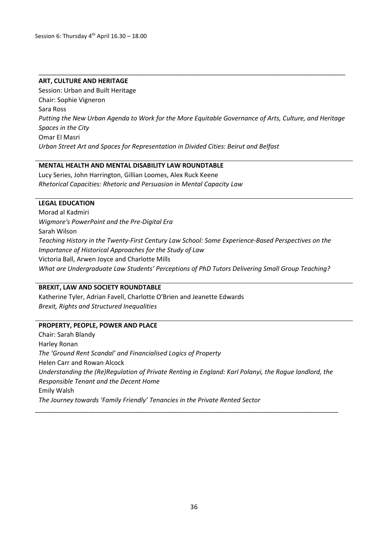#### **ART, CULTURE AND HERITAGE**

Session: Urban and Built Heritage Chair: Sophie Vigneron Sara Ross *Putting the New Urban Agenda to Work for the More Equitable Governance of Arts, Culture, and Heritage Spaces in the City*  Omar El Masri *Urban Street Art and Spaces for Representation in Divided Cities: Beirut and Belfast*

\_\_\_\_\_\_\_\_\_\_\_\_\_\_\_\_\_\_\_\_\_\_\_\_\_\_\_\_\_\_\_\_\_\_\_\_\_\_\_\_\_\_\_\_\_\_\_\_\_\_\_\_\_\_\_\_\_\_\_\_\_\_\_\_\_\_\_\_\_\_\_\_\_\_\_\_\_\_\_\_\_\_\_\_\_\_

#### **MENTAL HEALTH AND MENTAL DISABILITY LAW ROUNDTABLE**

Lucy Series, John Harrington, Gillian Loomes, Alex Ruck Keene *Rhetorical Capacities: Rhetoric and Persuasion in Mental Capacity Law* 

#### **LEGAL EDUCATION**

Morad al Kadmiri *Wigmore's PowerPoint and the Pre-Digital Era* Sarah Wilson *Teaching History in the Twenty-First Century Law School: Some Experience-Based Perspectives on the Importance of Historical Approaches for the Study of Law* Victoria Ball, Arwen Joyce and Charlotte Mills *What are Undergraduate Law Students' Perceptions of PhD Tutors Delivering Small Group Teaching?*

#### **BREXIT, LAW AND SOCIETY ROUNDTABLE**

Katherine Tyler, Adrian Favell, Charlotte O'Brien and Jeanette Edwards *Brexit, Rights and Structured Inequalities* 

#### **PROPERTY, PEOPLE, POWER AND PLACE**

Chair: Sarah Blandy Harley Ronan *The 'Ground Rent Scandal' and Financialised Logics of Property* Helen Carr and Rowan Alcock *Understanding the (Re)Regulation of Private Renting in England: Karl Polanyi, the Rogue landlord, the Responsible Tenant and the Decent Home* Emily Walsh *The Journey towards 'Family Friendly' Tenancies in the Private Rented Sector*

\_\_\_\_\_\_\_\_\_\_\_\_\_\_\_\_\_\_\_\_\_\_\_\_\_\_\_\_\_\_\_\_\_\_\_\_\_\_\_\_\_\_\_\_\_\_\_\_\_\_\_\_\_\_\_\_\_\_\_\_\_\_\_\_\_\_\_\_\_\_\_\_\_\_\_\_\_\_\_\_\_\_\_\_\_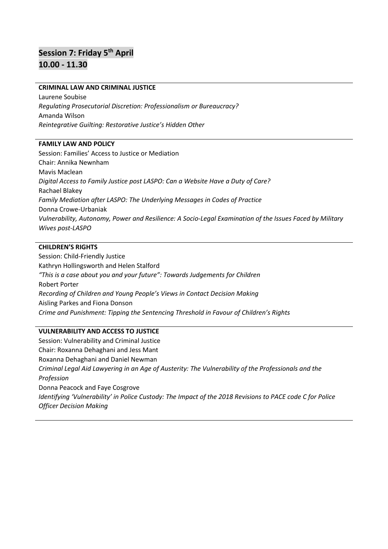# **Session 7: Friday 5th April 10.00 - 11.30**

#### **CRIMINAL LAW AND CRIMINAL JUSTICE**

Laurene Soubise *Regulating Prosecutorial Discretion: Professionalism or Bureaucracy?*  Amanda Wilson *Reintegrative Guilting: Restorative Justice's Hidden Other*

#### **FAMILY LAW AND POLICY**

Session: Families' Access to Justice or Mediation Chair: Annika Newnham Mavis Maclean *Digital Access to Family Justice post LASPO: Can a Website Have a Duty of Care?* Rachael Blakey *Family Mediation after LASPO: The Underlying Messages in Codes of Practice* Donna Crowe-Urbaniak *Vulnerability, Autonomy, Power and Resilience: A Socio-Legal Examination of the Issues Faced by Military Wives post-LASPO*

#### **CHILDREN'S RIGHTS**

Session: Child-Friendly Justice Kathryn Hollingsworth and Helen Stalford *"This is a case about you and your future": Towards Judgements for Children* Robert Porter *Recording of Children and Young People's Views in Contact Decision Making* Aisling Parkes and Fiona Donson *Crime and Punishment: Tipping the Sentencing Threshold in Favour of Children's Rights*

#### **VULNERABILITY AND ACCESS TO JUSTICE**

Session: Vulnerability and Criminal Justice Chair: Roxanna Dehaghani and Jess Mant Roxanna Dehaghani and Daniel Newman *Criminal Legal Aid Lawyering in an Age of Austerity: The Vulnerability of the Professionals and the Profession* Donna Peacock and Faye Cosgrove *Identifying 'Vulnerability' in Police Custody: The Impact of the 2018 Revisions to PACE code C for Police Officer Decision Making*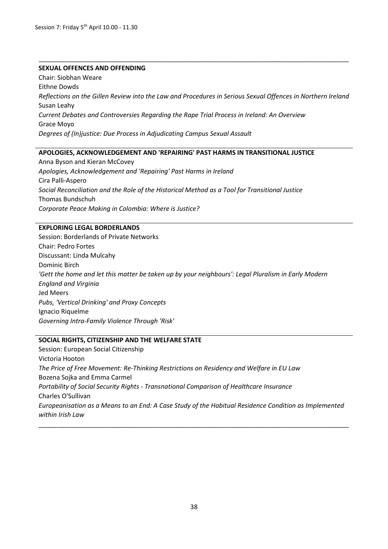#### **SEXUAL OFFENCES AND OFFENDING**

Chair: Siobhan Weare Eithne Dowds *Reflections on the Gillen Review into the Law and Procedures in Serious Sexual Offences in Northern Ireland* Susan Leahy *Current Debates and Controversies Regarding the Rape Trial Process in Ireland: An Overview* Grace Moyo *Degrees of (In)justice: Due Process in Adjudicating Campus Sexual Assault*

\_\_\_\_\_\_\_\_\_\_\_\_\_\_\_\_\_\_\_\_\_\_\_\_\_\_\_\_\_\_\_\_\_\_\_\_\_\_\_\_\_\_\_\_\_\_\_\_\_\_\_\_\_\_\_\_\_\_\_\_\_\_\_\_\_\_\_\_\_\_\_\_\_\_\_\_\_\_\_\_\_\_\_\_\_\_\_

#### **APOLOGIES, ACKNOWLEDGEMENT AND 'REPAIRING' PAST HARMS IN TRANSITIONAL JUSTICE**

Anna Byson and Kieran McCovey *Apologies, Acknowledgement and 'Repairing' Past Harms in Ireland*  Cira Palli-Aspero *Social Reconciliation and the Role of the Historical Method as a Tool for Transitional Justice*  Thomas Bundschuh *Corporate Peace Making in Colombia: Where is Justice?* 

#### **EXPLORING LEGAL BORDERLANDS**

Session: Borderlands of Private Networks Chair: Pedro Fortes Discussant: Linda Mulcahy Dominic Birch *'Gett the home and let this matter be taken up by your neighbours': Legal Pluralism in Early Modern England and Virginia* Jed Meers *Pubs, 'Vertical Drinking' and Proxy Concepts* Ignacio Riquelme *Governing Intra-Family Violence Through 'Risk'*

#### **SOCIAL RIGHTS, CITIZENSHIP AND THE WELFARE STATE**

Session: European Social Citizenship Victoria Hooton *The Price of Free Movement: Re-Thinking Restrictions on Residency and Welfare in EU Law* Bozena Sojka and Emma Carmel *Portability of Social Security Rights - Transnational Comparison of Healthcare Insurance* Charles O'Sullivan *Europeanisation as a Means to an End: A Case Study of the Habitual Residence Condition as Implemented within Irish Law*

\_\_\_\_\_\_\_\_\_\_\_\_\_\_\_\_\_\_\_\_\_\_\_\_\_\_\_\_\_\_\_\_\_\_\_\_\_\_\_\_\_\_\_\_\_\_\_\_\_\_\_\_\_\_\_\_\_\_\_\_\_\_\_\_\_\_\_\_\_\_\_\_\_\_\_\_\_\_\_\_\_\_\_\_\_\_\_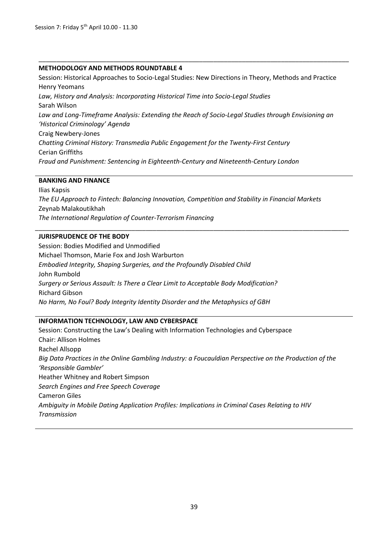#### **METHODOLOGY AND METHODS ROUNDTABLE 4**

Session: Historical Approaches to Socio-Legal Studies: New Directions in Theory, Methods and Practice Henry Yeomans *Law, History and Analysis: Incorporating Historical Time into Socio-Legal Studies* Sarah Wilson Law and Long-Timeframe Analysis: Extending the Reach of Socio-Legal Studies through Envisioning an *'Historical Criminology' Agenda*  Craig Newbery-Jones *Chatting Criminal History: Transmedia Public Engagement for the Twenty-First Century* Cerian Griffiths *Fraud and Punishment: Sentencing in Eighteenth-Century and Nineteenth-Century London*

\_\_\_\_\_\_\_\_\_\_\_\_\_\_\_\_\_\_\_\_\_\_\_\_\_\_\_\_\_\_\_\_\_\_\_\_\_\_\_\_\_\_\_\_\_\_\_\_\_\_\_\_\_\_\_\_\_\_\_\_\_\_\_\_\_\_\_\_\_\_\_\_\_\_\_\_\_\_\_\_\_\_\_\_\_\_\_

#### **BANKING AND FINANCE**

Ilias Kapsis *The EU Approach to Fintech: Balancing Innovation, Competition and Stability in Financial Markets*  Zeynab Malakoutikhah *The International Regulation of Counter-Terrorism Financing* 

\_\_\_\_\_\_\_\_\_\_\_\_\_\_\_\_\_\_\_\_\_\_\_\_\_\_\_\_\_\_\_\_\_\_\_\_\_\_\_\_\_\_\_\_\_\_\_\_\_\_\_\_\_\_\_\_\_\_\_\_\_\_\_\_\_\_\_\_\_\_\_\_\_\_\_\_\_\_\_\_\_\_\_\_\_\_\_\_

#### **JURISPRUDENCE OF THE BODY**

Session: Bodies Modified and Unmodified Michael Thomson, Marie Fox and Josh Warburton *Embodied Integrity, Shaping Surgeries, and the Profoundly Disabled Child*  John Rumbold *Surgery or Serious Assault: Is There a Clear Limit to Acceptable Body Modification?*  Richard Gibson *No Harm, No Foul? Body Integrity Identity Disorder and the Metaphysics of GBH* 

#### **INFORMATION TECHNOLOGY, LAW AND CYBERSPACE**

Session: Constructing the Law's Dealing with Information Technologies and Cyberspace Chair: Allison Holmes Rachel Allsopp *Big Data Practices in the Online Gambling Industry: a Foucauldian Perspective on the Production of the 'Responsible Gambler'* Heather Whitney and Robert Simpson *Search Engines and Free Speech Coverage* Cameron Giles *Ambiguity in Mobile Dating Application Profiles: Implications in Criminal Cases Relating to HIV Transmission*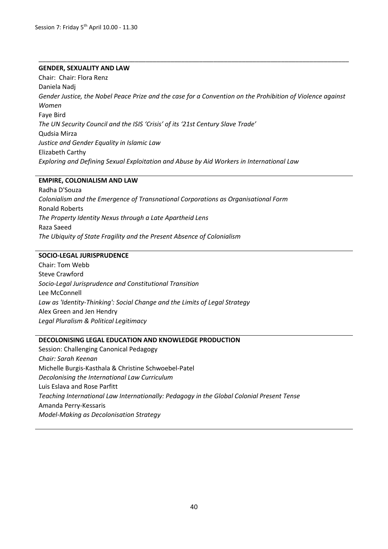#### **GENDER, SEXUALITY AND LAW**

Chair: Chair: Flora Renz Daniela Nadj *Gender Justice, the Nobel Peace Prize and the case for a Convention on the Prohibition of Violence against Women*  Faye Bird *The UN Security Council and the ISIS 'Crisis' of its '21st Century Slave Trade'* Qudsia Mirza *Justice and Gender Equality in Islamic Law*  Elizabeth Carthy *Exploring and Defining Sexual Exploitation and Abuse by Aid Workers in International Law*

\_\_\_\_\_\_\_\_\_\_\_\_\_\_\_\_\_\_\_\_\_\_\_\_\_\_\_\_\_\_\_\_\_\_\_\_\_\_\_\_\_\_\_\_\_\_\_\_\_\_\_\_\_\_\_\_\_\_\_\_\_\_\_\_\_\_\_\_\_\_\_\_\_\_\_\_\_\_\_\_\_\_\_\_\_\_\_

#### **EMPIRE, COLONIALISM AND LAW**

Radha D'Souza *Colonialism and the Emergence of Transnational Corporations as Organisational Form* Ronald Roberts *The Property Identity Nexus through a Late Apartheid Lens* Raza Saeed *The Ubiquity of State Fragility and the Present Absence of Colonialism*

#### **SOCIO-LEGAL JURISPRUDENCE**

Chair: Tom Webb Steve Crawford *Socio-Legal Jurisprudence and Constitutional Transition* Lee McConnell *Law as 'Identity-Thinking': Social Change and the Limits of Legal Strategy* Alex Green and Jen Hendry *Legal Pluralism & Political Legitimacy*

#### **DECOLONISING LEGAL EDUCATION AND KNOWLEDGE PRODUCTION**

Session: Challenging Canonical Pedagogy *Chair: Sarah Keenan* Michelle Burgis-Kasthala & Christine Schwoebel-Patel *Decolonising the International Law Curriculum* Luis Eslava and Rose Parfitt *Teaching International Law Internationally: Pedagogy in the Global Colonial Present Tense* Amanda Perry-Kessaris *Model-Making as Decolonisation Strategy*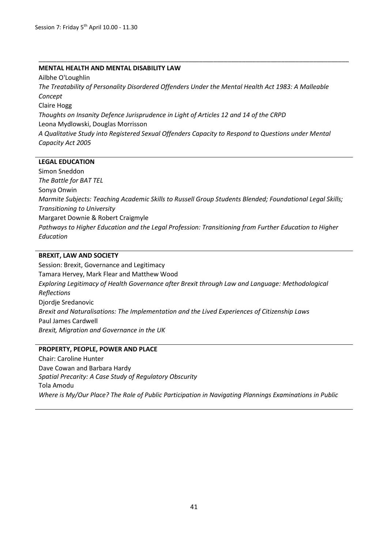#### **MENTAL HEALTH AND MENTAL DISABILITY LAW**

Ailbhe O'Loughlin *The Treatability of Personality Disordered Offenders Under the Mental Health Act 1983: A Malleable Concept* Claire Hogg *Thoughts on Insanity Defence Jurisprudence in Light of Articles 12 and 14 of the CRPD* Leona Mydlowski, Douglas Morrisson *A Qualitative Study into Registered Sexual Offenders Capacity to Respond to Questions under Mental Capacity Act 2005*

\_\_\_\_\_\_\_\_\_\_\_\_\_\_\_\_\_\_\_\_\_\_\_\_\_\_\_\_\_\_\_\_\_\_\_\_\_\_\_\_\_\_\_\_\_\_\_\_\_\_\_\_\_\_\_\_\_\_\_\_\_\_\_\_\_\_\_\_\_\_\_\_\_\_\_\_\_\_\_\_\_\_\_\_\_\_\_

#### **LEGAL EDUCATION**

Simon Sneddon *The Battle for BAT TEL* Sonya Onwin *Marmite Subjects: Teaching Academic Skills to Russell Group Students Blended; Foundational Legal Skills; Transitioning to University* Margaret Downie & Robert Craigmyle *Pathways to Higher Education and the Legal Profession: Transitioning from Further Education to Higher Education*

#### **BREXIT, LAW AND SOCIETY**

Session: Brexit, Governance and Legitimacy Tamara Hervey, Mark Flear and Matthew Wood *Exploring Legitimacy of Health Governance after Brexit through Law and Language: Methodological Reflections* Djordje Sredanovic *Brexit and Naturalisations: The Implementation and the Lived Experiences of Citizenship Laws* Paul James Cardwell *Brexit, Migration and Governance in the UK*

#### **PROPERTY, PEOPLE, POWER AND PLACE**

Chair: Caroline Hunter Dave Cowan and Barbara Hardy *Spatial Precarity: A Case Study of Regulatory Obscurity* Tola Amodu *Where is My/Our Place? The Role of Public Participation in Navigating Plannings Examinations in Public*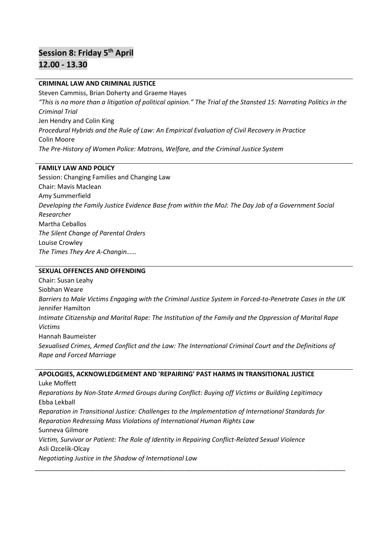# **Session 8: Friday 5 th April 12.00 - 13.30**

#### **CRIMINAL LAW AND CRIMINAL JUSTICE**

Steven Cammiss, Brian Doherty and Graeme Hayes *"This is no more than a litigation of political opinion." The Trial of the Stansted 15: Narrating Politics in the Criminal Trial*  Jen Hendry and Colin King *Procedural Hybrids and the Rule of Law: An Empirical Evaluation of Civil Recovery in Practice*  Colin Moore *The Pre-History of Women Police: Matrons, Welfare, and the Criminal Justice System*

#### **FAMILY LAW AND POLICY**

Session: Changing Families and Changing Law Chair: Mavis Maclean Amy Summerfield *Developing the Family Justice Evidence Base from within the MoJ: The Day Job of a Government Social Researcher* Martha Ceballos *The Silent Change of Parental Orders* Louise Crowley *The Times They Are A-Changin……*

#### **SEXUAL OFFENCES AND OFFENDING**

Chair: Susan Leahy Siobhan Weare *Barriers to Male Victims Engaging with the Criminal Justice System in Forced-to-Penetrate Cases in the UK* Jennifer Hamilton *Intimate Citizenship and Marital Rape: The Institution of the Family and the Oppression of Marital Rape Victims* Hannah Baumeister *Sexualised Crimes, Armed Conflict and the Law: The International Criminal Court and the Definitions of Rape and Forced Marriage*

#### **APOLOGIES, ACKNOWLEDGEMENT AND 'REPAIRING' PAST HARMS IN TRANSITIONAL JUSTICE**

Luke Moffett *Reparations by Non-State Armed Groups during Conflict: Buying off Victims or Building Legitimacy*  Ebba Lekball *Reparation in Transitional Justice: Challenges to the Implementation of International Standards for Reparation Redressing Mass Violations of International Human Rights Law* Sunneva Gilmore *Victim, Survivor or Patient: The Role of Identity in Repairing Conflict-Related Sexual Violence*  Asli Ozcelik-Olcay *Negotiating Justice in the Shadow of International Law* 

\_\_\_\_\_\_\_\_\_\_\_\_\_\_\_\_\_\_\_\_\_\_\_\_\_\_\_\_\_\_\_\_\_\_\_\_\_\_\_\_\_\_\_\_\_\_\_\_\_\_\_\_\_\_\_\_\_\_\_\_\_\_\_\_\_\_\_\_\_\_\_\_\_\_\_\_\_\_\_\_\_\_\_\_\_\_\_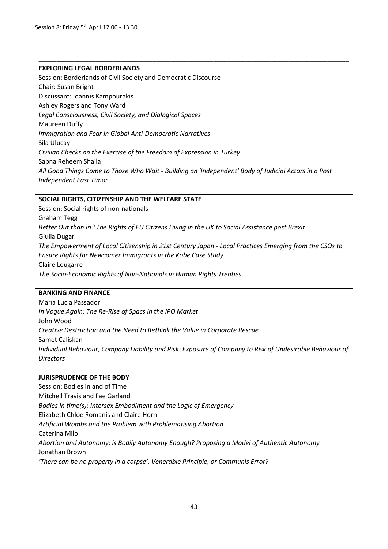#### **EXPLORING LEGAL BORDERLANDS**

Session: Borderlands of Civil Society and Democratic Discourse Chair: Susan Bright Discussant: Ioannis Kampourakis Ashley Rogers and Tony Ward *Legal Consciousness, Civil Society, and Dialogical Spaces*  Maureen Duffy *Immigration and Fear in Global Anti-Democratic Narratives* Sila Ulucay *Civilian Checks on the Exercise of the Freedom of Expression in Turkey* Sapna Reheem Shaila *All Good Things Come to Those Who Wait - Building an 'Independent' Body of Judicial Actors in a Post Independent East Timor*

\_\_\_\_\_\_\_\_\_\_\_\_\_\_\_\_\_\_\_\_\_\_\_\_\_\_\_\_\_\_\_\_\_\_\_\_\_\_\_\_\_\_\_\_\_\_\_\_\_\_\_\_\_\_\_\_\_\_\_\_\_\_\_\_\_\_\_\_\_\_\_\_\_\_\_\_\_\_\_\_\_\_\_\_\_\_\_

#### **SOCIAL RIGHTS, CITIZENSHIP AND THE WELFARE STATE**

Session: Social rights of non-nationals Graham Tegg *Better Out than In? The Rights of EU Citizens Living in the UK to Social Assistance post Brexit* Giulia Dugar *The Empowerment of Local Citizenship in 21st Century Japan - Local Practices Emerging from the CSOs to Ensure Rights for Newcomer Immigrants in the Kōbe Case Study* Claire Lougarre *The Socio-Economic Rights of Non-Nationals in Human Rights Treaties*

#### **BANKING AND FINANCE**

Maria Lucia Passador *In Vogue Again: The Re-Rise of Spacs in the IPO Market* John Wood *Creative Destruction and the Need to Rethink the Value in Corporate Rescue*  Samet Caliskan *Individual Behaviour, Company Liability and Risk: Exposure of Company to Risk of Undesirable Behaviour of Directors* 

#### **JURISPRUDENCE OF THE BODY**

Session: Bodies in and of Time Mitchell Travis and Fae Garland *Bodies in time(s): Intersex Embodiment and the Logic of Emergency* Elizabeth Chloe Romanis and Claire Horn *Artificial Wombs and the Problem with Problematising Abortion* Caterina Milo *Abortion and Autonomy: is Bodily Autonomy Enough? Proposing a Model of Authentic Autonomy* Jonathan Brown *'There can be no property in a corpse'. Venerable Principle, or Communis Error?*

\_\_\_\_\_\_\_\_\_\_\_\_\_\_\_\_\_\_\_\_\_\_\_\_\_\_\_\_\_\_\_\_\_\_\_\_\_\_\_\_\_\_\_\_\_\_\_\_\_\_\_\_\_\_\_\_\_\_\_\_\_\_\_\_\_\_\_\_\_\_\_\_\_\_\_\_\_\_\_\_\_\_\_\_\_\_\_\_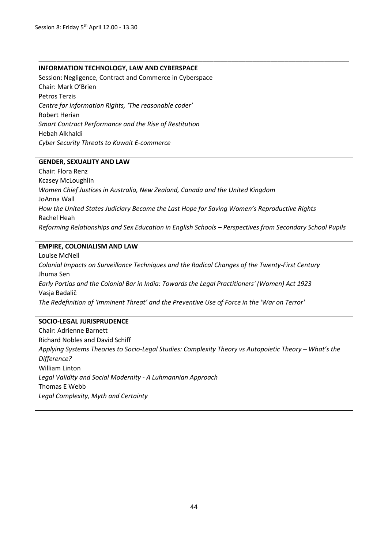#### **INFORMATION TECHNOLOGY, LAW AND CYBERSPACE**

Session: Negligence, Contract and Commerce in Cyberspace Chair: Mark O'Brien Petros Terzis *Centre for Information Rights, 'The reasonable coder'* Robert Herian *Smart Contract Performance and the Rise of Restitution* Hebah Alkhaldi *Cyber Security Threats to Kuwait E-commerce*

#### **GENDER, SEXUALITY AND LAW**

Chair: Flora Renz Kcasey McLoughlin *Women Chief Justices in Australia, New Zealand, Canada and the United Kingdom* JoAnna Wall *How the United States Judiciary Became the Last Hope for Saving Women's Reproductive Rights* Rachel Heah *Reforming Relationships and Sex Education in English Schools – Perspectives from Secondary School Pupils* 

\_\_\_\_\_\_\_\_\_\_\_\_\_\_\_\_\_\_\_\_\_\_\_\_\_\_\_\_\_\_\_\_\_\_\_\_\_\_\_\_\_\_\_\_\_\_\_\_\_\_\_\_\_\_\_\_\_\_\_\_\_\_\_\_\_\_\_\_\_\_\_\_\_\_\_\_\_\_\_\_\_\_\_\_\_\_\_

#### **EMPIRE, COLONIALISM AND LAW**

Louise McNeil *Colonial Impacts on Surveillance Techniques and the Radical Changes of the Twenty-First Century* Jhuma Sen *Early Portias and the Colonial Bar in India: Towards the Legal Practitioners' (Women) Act 1923* Vasja Badalič *The Redefinition of 'Imminent Threat' and the Preventive Use of Force in the 'War on Terror'*

#### **SOCIO-LEGAL JURISPRUDENCE**

Chair: Adrienne Barnett Richard Nobles and David Schiff Applying Systems Theories to Socio-Legal Studies: Complexity Theory vs Autopoietic Theory – What's the *Difference?* William Linton *Legal Validity and Social Modernity - A Luhmannian Approach* Thomas E Webb *Legal Complexity, Myth and Certainty*